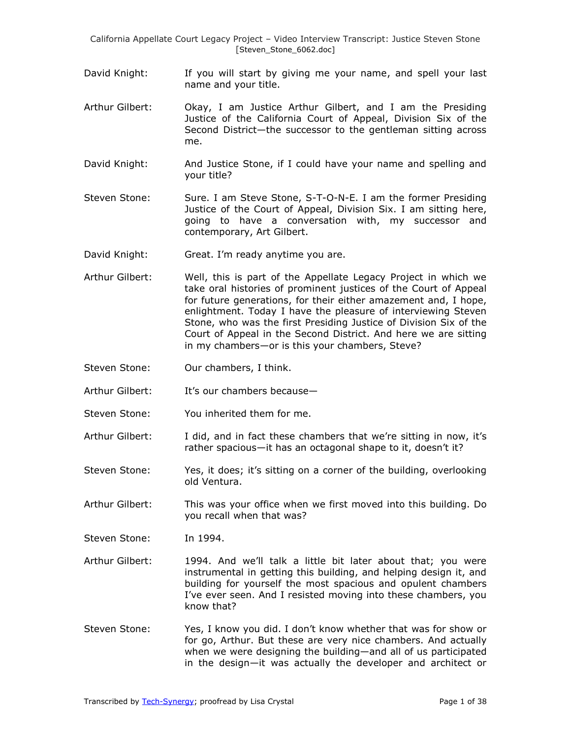- David Knight: If you will start by giving me your name, and spell your last name and your title.
- Arthur Gilbert: Okay, I am Justice Arthur Gilbert, and I am the Presiding Justice of the California Court of Appeal, Division Six of the Second District—the successor to the gentleman sitting across me.
- David Knight: And Justice Stone, if I could have your name and spelling and your title?
- Steven Stone: Sure. I am Steve Stone, S-T-O-N-E. I am the former Presiding Justice of the Court of Appeal, Division Six. I am sitting here, going to have a conversation with, my successor and contemporary, Art Gilbert.
- David Knight: Great. I'm ready anytime you are.
- Arthur Gilbert: Well, this is part of the Appellate Legacy Project in which we take oral histories of prominent justices of the Court of Appeal for future generations, for their either amazement and, I hope, enlightment. Today I have the pleasure of interviewing Steven Stone, who was the first Presiding Justice of Division Six of the Court of Appeal in the Second District. And here we are sitting in my chambers—or is this your chambers, Steve?
- Steven Stone: Our chambers, I think.
- Arthur Gilbert: It's our chambers because—
- Steven Stone: You inherited them for me.
- Arthur Gilbert: I did, and in fact these chambers that we're sitting in now, it's rather spacious—it has an octagonal shape to it, doesn't it?
- Steven Stone: Yes, it does; it's sitting on a corner of the building, overlooking old Ventura.
- Arthur Gilbert: This was your office when we first moved into this building. Do you recall when that was?

Steven Stone: In 1994.

- Arthur Gilbert: 1994. And we'll talk a little bit later about that; you were instrumental in getting this building, and helping design it, and building for yourself the most spacious and opulent chambers I've ever seen. And I resisted moving into these chambers, you know that?
- Steven Stone: Yes, I know you did. I don't know whether that was for show or for go, Arthur. But these are very nice chambers. And actually when we were designing the building—and all of us participated in the design—it was actually the developer and architect or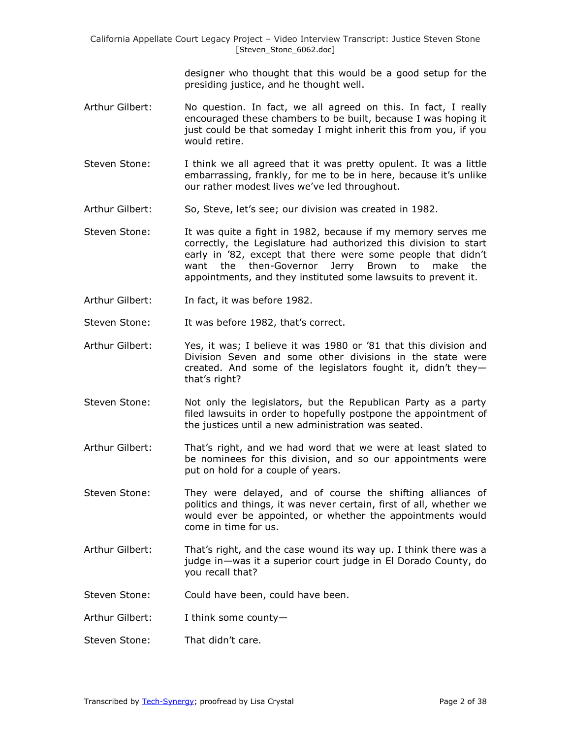> designer who thought that this would be a good setup for the presiding justice, and he thought well.

- Arthur Gilbert: No question. In fact, we all agreed on this. In fact, I really encouraged these chambers to be built, because I was hoping it just could be that someday I might inherit this from you, if you would retire.
- Steven Stone: I think we all agreed that it was pretty opulent. It was a little embarrassing, frankly, for me to be in here, because it's unlike our rather modest lives we've led throughout.
- Arthur Gilbert: So, Steve, let's see; our division was created in 1982.
- Steven Stone: It was quite a fight in 1982, because if my memory serves me correctly, the Legislature had authorized this division to start early in '82, except that there were some people that didn't want the then-Governor Jerry Brown to make the appointments, and they instituted some lawsuits to prevent it.
- Arthur Gilbert: In fact, it was before 1982.
- Steven Stone: It was before 1982, that's correct.
- Arthur Gilbert: Yes, it was; I believe it was 1980 or '81 that this division and Division Seven and some other divisions in the state were created. And some of the legislators fought it, didn't they that's right?
- Steven Stone: Not only the legislators, but the Republican Party as a party filed lawsuits in order to hopefully postpone the appointment of the justices until a new administration was seated.
- Arthur Gilbert: That's right, and we had word that we were at least slated to be nominees for this division, and so our appointments were put on hold for a couple of years.
- Steven Stone: They were delayed, and of course the shifting alliances of politics and things, it was never certain, first of all, whether we would ever be appointed, or whether the appointments would come in time for us.
- Arthur Gilbert: That's right, and the case wound its way up. I think there was a judge in—was it a superior court judge in El Dorado County, do you recall that?
- Steven Stone: Could have been, could have been.
- Arthur Gilbert: I think some county—
- Steven Stone: That didn't care.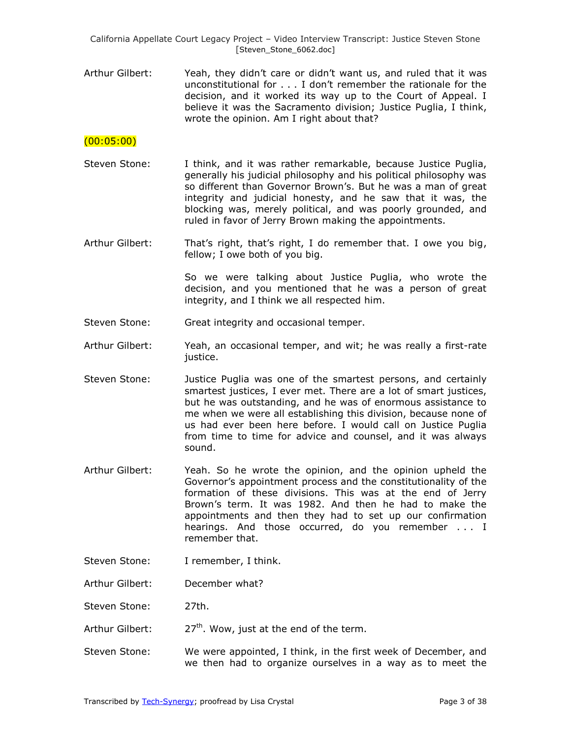Arthur Gilbert: Yeah, they didn't care or didn't want us, and ruled that it was unconstitutional for . . . I don't remember the rationale for the decision, and it worked its way up to the Court of Appeal. I believe it was the Sacramento division; Justice Puglia, I think, wrote the opinion. Am I right about that?

#### (00:05:00)

- Steven Stone: I think, and it was rather remarkable, because Justice Puglia, generally his judicial philosophy and his political philosophy was so different than Governor Brown's. But he was a man of great integrity and judicial honesty, and he saw that it was, the blocking was, merely political, and was poorly grounded, and ruled in favor of Jerry Brown making the appointments.
- Arthur Gilbert: That's right, that's right, I do remember that. I owe you big, fellow; I owe both of you big.

So we were talking about Justice Puglia, who wrote the decision, and you mentioned that he was a person of great integrity, and I think we all respected him.

- Steven Stone: Great integrity and occasional temper.
- Arthur Gilbert: Yeah, an occasional temper, and wit; he was really a first-rate justice.
- Steven Stone: Justice Puglia was one of the smartest persons, and certainly smartest justices, I ever met. There are a lot of smart justices, but he was outstanding, and he was of enormous assistance to me when we were all establishing this division, because none of us had ever been here before. I would call on Justice Puglia from time to time for advice and counsel, and it was always sound.
- Arthur Gilbert: Yeah. So he wrote the opinion, and the opinion upheld the Governor's appointment process and the constitutionality of the formation of these divisions. This was at the end of Jerry Brown's term. It was 1982. And then he had to make the appointments and then they had to set up our confirmation hearings. And those occurred, do you remember . . . I remember that.
- Steven Stone: I remember, I think.

Arthur Gilbert: December what?

Steven Stone: 27th.

- Arthur Gilbert:  $27<sup>th</sup>$ . Wow, just at the end of the term.
- Steven Stone: We were appointed, I think, in the first week of December, and we then had to organize ourselves in a way as to meet the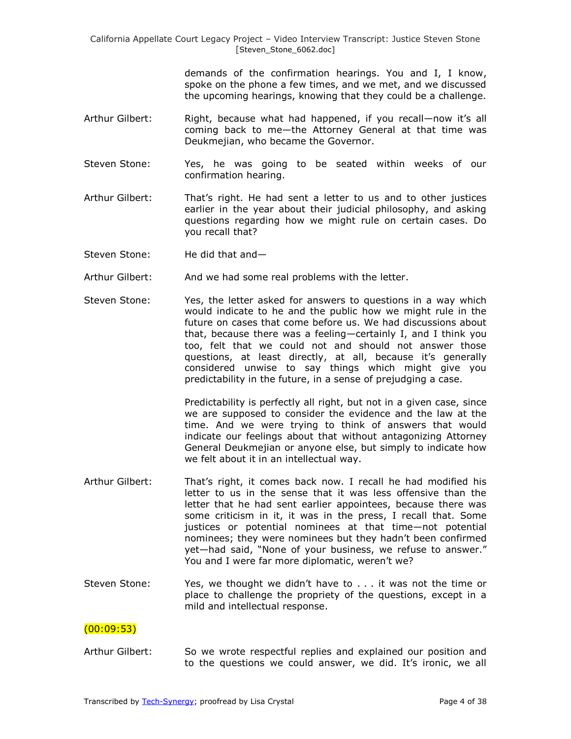demands of the confirmation hearings. You and I, I know, spoke on the phone a few times, and we met, and we discussed the upcoming hearings, knowing that they could be a challenge.

- Arthur Gilbert: Right, because what had happened, if you recall—now it's all coming back to me—the Attorney General at that time was Deukmejian, who became the Governor.
- Steven Stone: Yes, he was going to be seated within weeks of our confirmation hearing.
- Arthur Gilbert: That's right. He had sent a letter to us and to other justices earlier in the year about their judicial philosophy, and asking questions regarding how we might rule on certain cases. Do you recall that?
- Steven Stone: He did that and—
- Arthur Gilbert: And we had some real problems with the letter.
- Steven Stone: Yes, the letter asked for answers to questions in a way which would indicate to he and the public how we might rule in the future on cases that come before us. We had discussions about that, because there was a feeling—certainly I, and I think you too, felt that we could not and should not answer those questions, at least directly, at all, because it's generally considered unwise to say things which might give you predictability in the future, in a sense of prejudging a case.

Predictability is perfectly all right, but not in a given case, since we are supposed to consider the evidence and the law at the time. And we were trying to think of answers that would indicate our feelings about that without antagonizing Attorney General Deukmejian or anyone else, but simply to indicate how we felt about it in an intellectual way.

- Arthur Gilbert: That's right, it comes back now. I recall he had modified his letter to us in the sense that it was less offensive than the letter that he had sent earlier appointees, because there was some criticism in it, it was in the press, I recall that. Some justices or potential nominees at that time—not potential nominees; they were nominees but they hadn't been confirmed yet—had said, "None of your business, we refuse to answer." You and I were far more diplomatic, weren't we?
- Steven Stone: Yes, we thought we didn't have to . . . it was not the time or place to challenge the propriety of the questions, except in a mild and intellectual response.

### $(00:09:53)$

Arthur Gilbert: So we wrote respectful replies and explained our position and to the questions we could answer, we did. It's ironic, we all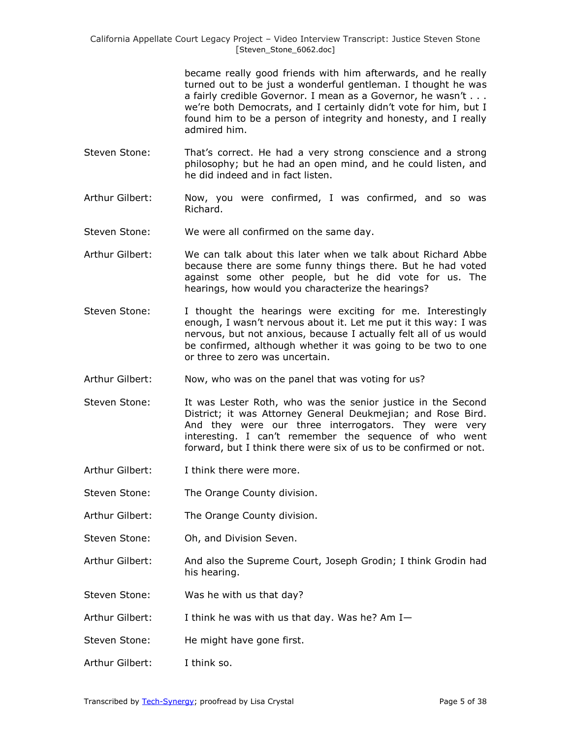> became really good friends with him afterwards, and he really turned out to be just a wonderful gentleman. I thought he was a fairly credible Governor. I mean as a Governor, he wasn't . . . we're both Democrats, and I certainly didn't vote for him, but I found him to be a person of integrity and honesty, and I really admired him.

- Steven Stone: That's correct. He had a very strong conscience and a strong philosophy; but he had an open mind, and he could listen, and he did indeed and in fact listen.
- Arthur Gilbert: Now, you were confirmed, I was confirmed, and so was Richard.
- Steven Stone: We were all confirmed on the same day.
- Arthur Gilbert: We can talk about this later when we talk about Richard Abbe because there are some funny things there. But he had voted against some other people, but he did vote for us. The hearings, how would you characterize the hearings?
- Steven Stone: I thought the hearings were exciting for me. Interestingly enough, I wasn't nervous about it. Let me put it this way: I was nervous, but not anxious, because I actually felt all of us would be confirmed, although whether it was going to be two to one or three to zero was uncertain.
- Arthur Gilbert: Now, who was on the panel that was voting for us?
- Steven Stone: It was Lester Roth, who was the senior justice in the Second District; it was Attorney General Deukmejian; and Rose Bird. And they were our three interrogators. They were very interesting. I can't remember the sequence of who went forward, but I think there were six of us to be confirmed or not.
- Arthur Gilbert: I think there were more.
- Steven Stone: The Orange County division.
- Arthur Gilbert: The Orange County division.
- Steven Stone: Oh, and Division Seven.
- Arthur Gilbert: And also the Supreme Court, Joseph Grodin; I think Grodin had his hearing.
- Steven Stone: Was he with us that day?
- Arthur Gilbert: I think he was with us that day. Was he? Am I—
- Steven Stone: He might have gone first.
- Arthur Gilbert: I think so.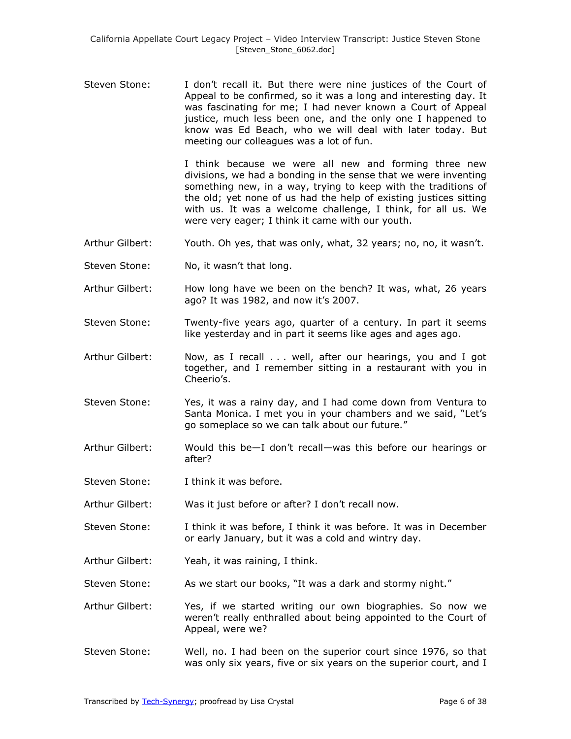Steven Stone: I don't recall it. But there were nine justices of the Court of Appeal to be confirmed, so it was a long and interesting day. It was fascinating for me; I had never known a Court of Appeal justice, much less been one, and the only one I happened to know was Ed Beach, who we will deal with later today. But meeting our colleagues was a lot of fun.

> I think because we were all new and forming three new divisions, we had a bonding in the sense that we were inventing something new, in a way, trying to keep with the traditions of the old; yet none of us had the help of existing justices sitting with us. It was a welcome challenge, I think, for all us. We were very eager; I think it came with our youth.

- Arthur Gilbert: Youth. Oh yes, that was only, what, 32 years; no, no, it wasn't.
- Steven Stone: No, it wasn't that long.
- Arthur Gilbert: How long have we been on the bench? It was, what, 26 years ago? It was 1982, and now it's 2007.
- Steven Stone: Twenty-five years ago, quarter of a century. In part it seems like yesterday and in part it seems like ages and ages ago.
- Arthur Gilbert: Now, as I recall . . . well, after our hearings, you and I got together, and I remember sitting in a restaurant with you in Cheerio's.
- Steven Stone: Yes, it was a rainy day, and I had come down from Ventura to Santa Monica. I met you in your chambers and we said, "Let's go someplace so we can talk about our future."
- Arthur Gilbert: Would this be—I don't recall—was this before our hearings or after?
- Steven Stone: I think it was before.
- Arthur Gilbert: Was it just before or after? I don't recall now.
- Steven Stone: I think it was before, I think it was before. It was in December or early January, but it was a cold and wintry day.
- Arthur Gilbert: Yeah, it was raining, I think.
- Steven Stone: As we start our books, "It was a dark and stormy night."
- Arthur Gilbert: Yes, if we started writing our own biographies. So now we weren't really enthralled about being appointed to the Court of Appeal, were we?
- Steven Stone: Well, no. I had been on the superior court since 1976, so that was only six years, five or six years on the superior court, and I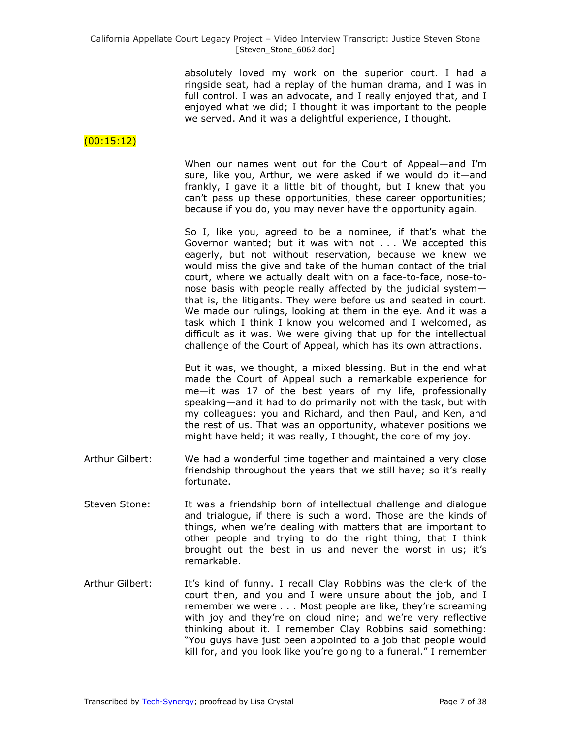absolutely loved my work on the superior court. I had a ringside seat, had a replay of the human drama, and I was in full control. I was an advocate, and I really enjoyed that, and I enjoyed what we did; I thought it was important to the people we served. And it was a delightful experience, I thought.

### $(00:15:12)$

When our names went out for the Court of Appeal—and I'm sure, like you, Arthur, we were asked if we would do it—and frankly, I gave it a little bit of thought, but I knew that you can't pass up these opportunities, these career opportunities; because if you do, you may never have the opportunity again.

So I, like you, agreed to be a nominee, if that's what the Governor wanted; but it was with not . . . We accepted this eagerly, but not without reservation, because we knew we would miss the give and take of the human contact of the trial court, where we actually dealt with on a face-to-face, nose-tonose basis with people really affected by the judicial system that is, the litigants. They were before us and seated in court. We made our rulings, looking at them in the eye. And it was a task which I think I know you welcomed and I welcomed, as difficult as it was. We were giving that up for the intellectual challenge of the Court of Appeal, which has its own attractions.

But it was, we thought, a mixed blessing. But in the end what made the Court of Appeal such a remarkable experience for me—it was 17 of the best years of my life, professionally speaking—and it had to do primarily not with the task, but with my colleagues: you and Richard, and then Paul, and Ken, and the rest of us. That was an opportunity, whatever positions we might have held; it was really, I thought, the core of my joy.

- Arthur Gilbert: We had a wonderful time together and maintained a very close friendship throughout the years that we still have; so it's really fortunate.
- Steven Stone: It was a friendship born of intellectual challenge and dialogue and trialogue, if there is such a word. Those are the kinds of things, when we're dealing with matters that are important to other people and trying to do the right thing, that I think brought out the best in us and never the worst in us; it's remarkable.
- Arthur Gilbert: It's kind of funny. I recall Clay Robbins was the clerk of the court then, and you and I were unsure about the job, and I remember we were . . . Most people are like, they're screaming with joy and they're on cloud nine; and we're very reflective thinking about it. I remember Clay Robbins said something: "You guys have just been appointed to a job that people would kill for, and you look like you're going to a funeral." I remember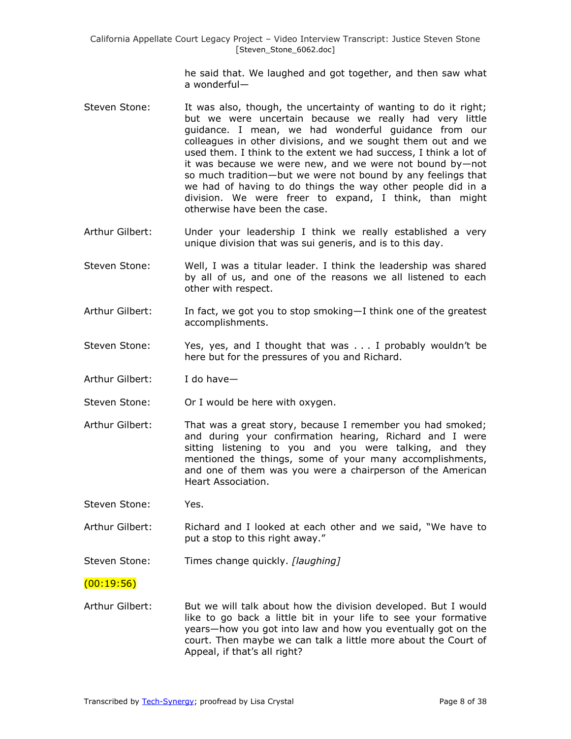he said that. We laughed and got together, and then saw what a wonderful—

- Steven Stone: It was also, though, the uncertainty of wanting to do it right; but we were uncertain because we really had very little guidance. I mean, we had wonderful guidance from our colleagues in other divisions, and we sought them out and we used them. I think to the extent we had success, I think a lot of it was because we were new, and we were not bound by—not so much tradition—but we were not bound by any feelings that we had of having to do things the way other people did in a division. We were freer to expand, I think, than might otherwise have been the case.
- Arthur Gilbert: Under your leadership I think we really established a very unique division that was sui generis, and is to this day.
- Steven Stone: Well, I was a titular leader. I think the leadership was shared by all of us, and one of the reasons we all listened to each other with respect.
- Arthur Gilbert: In fact, we got you to stop smoking—I think one of the greatest accomplishments.
- Steven Stone: Yes, yes, and I thought that was . . . I probably wouldn't be here but for the pressures of you and Richard.
- Arthur Gilbert: I do have—

Steven Stone: Or I would be here with oxygen.

Arthur Gilbert: That was a great story, because I remember you had smoked; and during your confirmation hearing, Richard and I were sitting listening to you and you were talking, and they mentioned the things, some of your many accomplishments, and one of them was you were a chairperson of the American Heart Association.

Steven Stone: Yes.

- Arthur Gilbert: Richard and I looked at each other and we said, "We have to put a stop to this right away."
- Steven Stone: Times change quickly. *[laughing]*

 $(00:19:56)$ 

Arthur Gilbert: But we will talk about how the division developed. But I would like to go back a little bit in your life to see your formative years—how you got into law and how you eventually got on the court. Then maybe we can talk a little more about the Court of Appeal, if that's all right?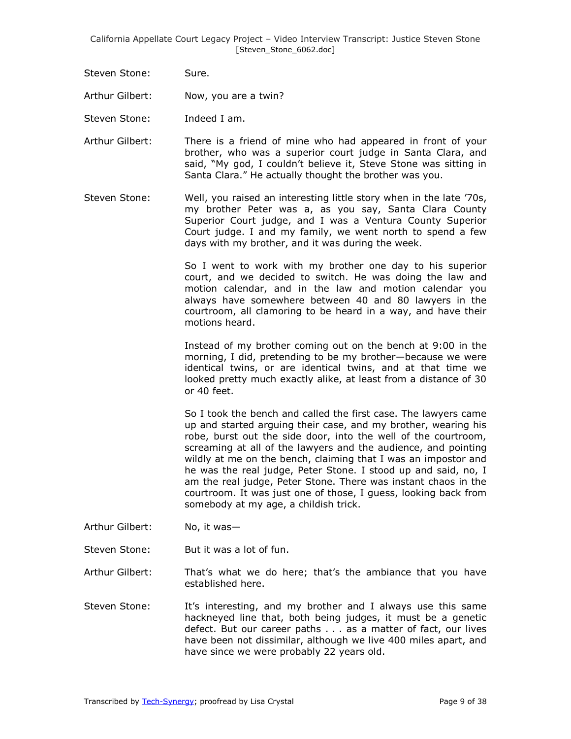Steven Stone: Sure.

Arthur Gilbert: Now, you are a twin?

Steven Stone: Indeed I am.

- Arthur Gilbert: There is a friend of mine who had appeared in front of your brother, who was a superior court judge in Santa Clara, and said, "My god, I couldn't believe it, Steve Stone was sitting in Santa Clara." He actually thought the brother was you.
- Steven Stone: Well, you raised an interesting little story when in the late '70s, my brother Peter was a, as you say, Santa Clara County Superior Court judge, and I was a Ventura County Superior Court judge. I and my family, we went north to spend a few days with my brother, and it was during the week.

So I went to work with my brother one day to his superior court, and we decided to switch. He was doing the law and motion calendar, and in the law and motion calendar you always have somewhere between 40 and 80 lawyers in the courtroom, all clamoring to be heard in a way, and have their motions heard.

Instead of my brother coming out on the bench at 9:00 in the morning, I did, pretending to be my brother—because we were identical twins, or are identical twins, and at that time we looked pretty much exactly alike, at least from a distance of 30 or 40 feet.

So I took the bench and called the first case. The lawyers came up and started arguing their case, and my brother, wearing his robe, burst out the side door, into the well of the courtroom, screaming at all of the lawyers and the audience, and pointing wildly at me on the bench, claiming that I was an impostor and he was the real judge, Peter Stone. I stood up and said, no, I am the real judge, Peter Stone. There was instant chaos in the courtroom. It was just one of those, I guess, looking back from somebody at my age, a childish trick.

- Arthur Gilbert: No, it was—
- Steven Stone: But it was a lot of fun.

Arthur Gilbert: That's what we do here; that's the ambiance that you have established here.

Steven Stone: It's interesting, and my brother and I always use this same hackneyed line that, both being judges, it must be a genetic defect. But our career paths . . . as a matter of fact, our lives have been not dissimilar, although we live 400 miles apart, and have since we were probably 22 years old.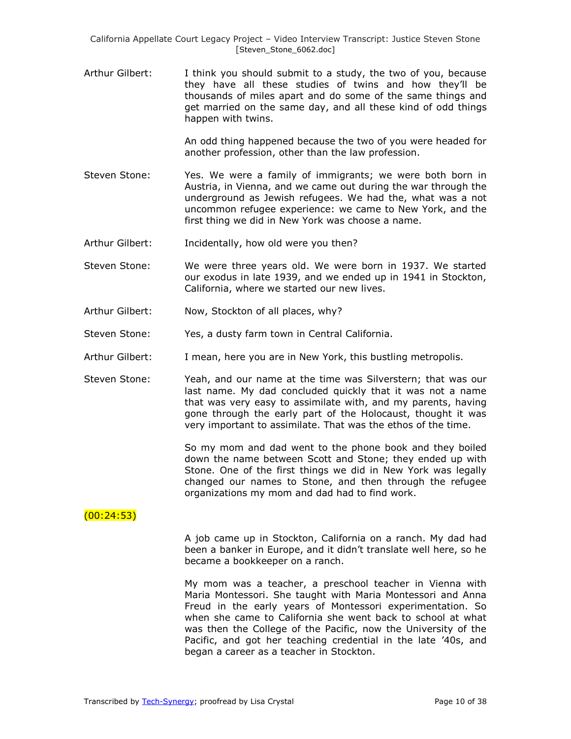Arthur Gilbert: I think you should submit to a study, the two of you, because they have all these studies of twins and how they'll be thousands of miles apart and do some of the same things and get married on the same day, and all these kind of odd things happen with twins.

> An odd thing happened because the two of you were headed for another profession, other than the law profession.

- Steven Stone: Yes. We were a family of immigrants; we were both born in Austria, in Vienna, and we came out during the war through the underground as Jewish refugees. We had the, what was a not uncommon refugee experience: we came to New York, and the first thing we did in New York was choose a name.
- Arthur Gilbert: Incidentally, how old were you then?
- Steven Stone: We were three years old. We were born in 1937. We started our exodus in late 1939, and we ended up in 1941 in Stockton, California, where we started our new lives.
- Arthur Gilbert: Now, Stockton of all places, why?
- Steven Stone: Yes, a dusty farm town in Central California.
- Arthur Gilbert: I mean, here you are in New York, this bustling metropolis.
- Steven Stone: Yeah, and our name at the time was Silverstern; that was our last name. My dad concluded quickly that it was not a name that was very easy to assimilate with, and my parents, having gone through the early part of the Holocaust, thought it was very important to assimilate. That was the ethos of the time.

So my mom and dad went to the phone book and they boiled down the name between Scott and Stone; they ended up with Stone. One of the first things we did in New York was legally changed our names to Stone, and then through the refugee organizations my mom and dad had to find work.

# (00:24:53)

A job came up in Stockton, California on a ranch. My dad had been a banker in Europe, and it didn't translate well here, so he became a bookkeeper on a ranch.

My mom was a teacher, a preschool teacher in Vienna with Maria Montessori. She taught with Maria Montessori and Anna Freud in the early years of Montessori experimentation. So when she came to California she went back to school at what was then the College of the Pacific, now the University of the Pacific, and got her teaching credential in the late '40s, and began a career as a teacher in Stockton.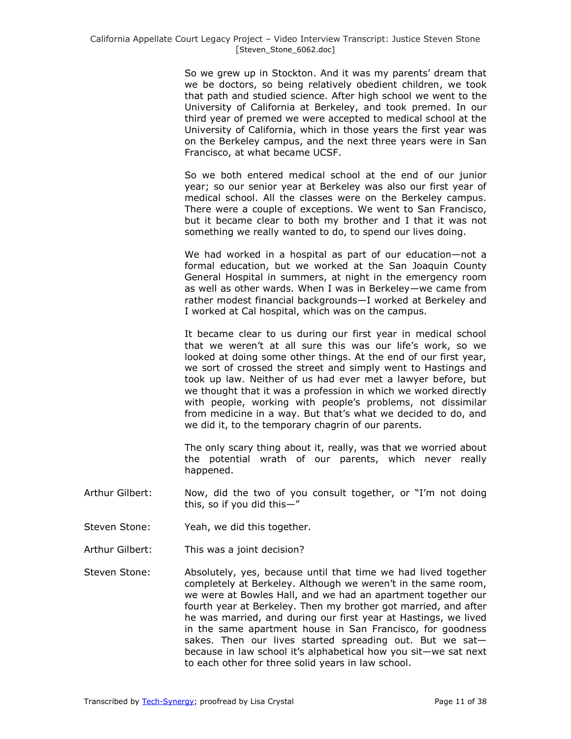So we grew up in Stockton. And it was my parents' dream that we be doctors, so being relatively obedient children, we took that path and studied science. After high school we went to the University of California at Berkeley, and took premed. In our third year of premed we were accepted to medical school at the University of California, which in those years the first year was on the Berkeley campus, and the next three years were in San Francisco, at what became UCSF.

So we both entered medical school at the end of our junior year; so our senior year at Berkeley was also our first year of medical school. All the classes were on the Berkeley campus. There were a couple of exceptions. We went to San Francisco, but it became clear to both my brother and I that it was not something we really wanted to do, to spend our lives doing.

We had worked in a hospital as part of our education—not a formal education, but we worked at the San Joaquin County General Hospital in summers, at night in the emergency room as well as other wards. When I was in Berkeley—we came from rather modest financial backgrounds—I worked at Berkeley and I worked at Cal hospital, which was on the campus.

It became clear to us during our first year in medical school that we weren't at all sure this was our life's work, so we looked at doing some other things. At the end of our first year, we sort of crossed the street and simply went to Hastings and took up law. Neither of us had ever met a lawyer before, but we thought that it was a profession in which we worked directly with people, working with people's problems, not dissimilar from medicine in a way. But that's what we decided to do, and we did it, to the temporary chagrin of our parents.

The only scary thing about it, really, was that we worried about the potential wrath of our parents, which never really happened.

- Arthur Gilbert: Now, did the two of you consult together, or "I'm not doing this, so if you did this $-$ "
- Steven Stone: Yeah, we did this together.
- Arthur Gilbert: This was a joint decision?
- Steven Stone: Absolutely, yes, because until that time we had lived together completely at Berkeley. Although we weren't in the same room, we were at Bowles Hall, and we had an apartment together our fourth year at Berkeley. Then my brother got married, and after he was married, and during our first year at Hastings, we lived in the same apartment house in San Francisco, for goodness sakes. Then our lives started spreading out. But we sat because in law school it's alphabetical how you sit—we sat next to each other for three solid years in law school.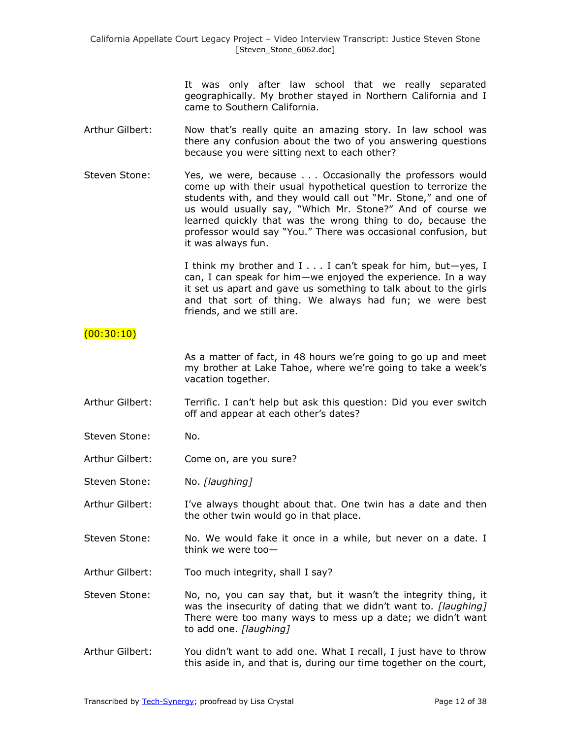It was only after law school that we really separated geographically. My brother stayed in Northern California and I came to Southern California.

- Arthur Gilbert: Now that's really quite an amazing story. In law school was there any confusion about the two of you answering questions because you were sitting next to each other?
- Steven Stone: Yes, we were, because . . . Occasionally the professors would come up with their usual hypothetical question to terrorize the students with, and they would call out "Mr. Stone," and one of us would usually say, "Which Mr. Stone?" And of course we learned quickly that was the wrong thing to do, because the professor would say "You." There was occasional confusion, but it was always fun.

I think my brother and I . . . I can't speak for him, but—yes, I can, I can speak for him—we enjoyed the experience. In a way it set us apart and gave us something to talk about to the girls and that sort of thing. We always had fun; we were best friends, and we still are.

### $(00:30:10)$

As a matter of fact, in 48 hours we're going to go up and meet my brother at Lake Tahoe, where we're going to take a week's vacation together.

- Arthur Gilbert: Terrific. I can't help but ask this question: Did you ever switch off and appear at each other's dates?
- Steven Stone: No.
- Arthur Gilbert: Come on, are you sure?

Steven Stone: No. *[laughing]*

- Arthur Gilbert: I've always thought about that. One twin has a date and then the other twin would go in that place.
- Steven Stone: No. We would fake it once in a while, but never on a date. I think we were too—
- Arthur Gilbert: Too much integrity, shall I say?
- Steven Stone: No, no, you can say that, but it wasn't the integrity thing, it was the insecurity of dating that we didn't want to. *[laughing]* There were too many ways to mess up a date; we didn't want to add one. *[laughing]*
- Arthur Gilbert: You didn't want to add one. What I recall, I just have to throw this aside in, and that is, during our time together on the court,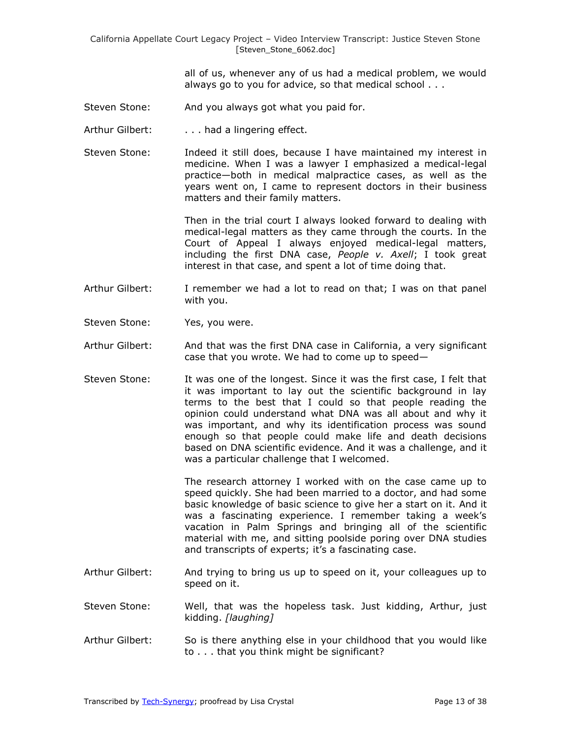all of us, whenever any of us had a medical problem, we would always go to you for advice, so that medical school . . .

- Steven Stone: And you always got what you paid for.
- Arthur Gilbert: . . . . had a lingering effect.
- Steven Stone: Indeed it still does, because I have maintained my interest in medicine. When I was a lawyer I emphasized a medical-legal practice—both in medical malpractice cases, as well as the years went on, I came to represent doctors in their business matters and their family matters.

Then in the trial court I always looked forward to dealing with medical-legal matters as they came through the courts. In the Court of Appeal I always enjoyed medical-legal matters, including the first DNA case, *People v. Axell*; I took great interest in that case, and spent a lot of time doing that.

- Arthur Gilbert: I remember we had a lot to read on that; I was on that panel with you.
- Steven Stone: Yes, you were.
- Arthur Gilbert: And that was the first DNA case in California, a very significant case that you wrote. We had to come up to speed—
- Steven Stone: It was one of the longest. Since it was the first case, I felt that it was important to lay out the scientific background in lay terms to the best that I could so that people reading the opinion could understand what DNA was all about and why it was important, and why its identification process was sound enough so that people could make life and death decisions based on DNA scientific evidence. And it was a challenge, and it was a particular challenge that I welcomed.

The research attorney I worked with on the case came up to speed quickly. She had been married to a doctor, and had some basic knowledge of basic science to give her a start on it. And it was a fascinating experience. I remember taking a week's vacation in Palm Springs and bringing all of the scientific material with me, and sitting poolside poring over DNA studies and transcripts of experts; it's a fascinating case.

- Arthur Gilbert: And trying to bring us up to speed on it, your colleagues up to speed on it.
- Steven Stone: Well, that was the hopeless task. Just kidding, Arthur, just kidding. *[laughing]*
- Arthur Gilbert: So is there anything else in your childhood that you would like to . . . that you think might be significant?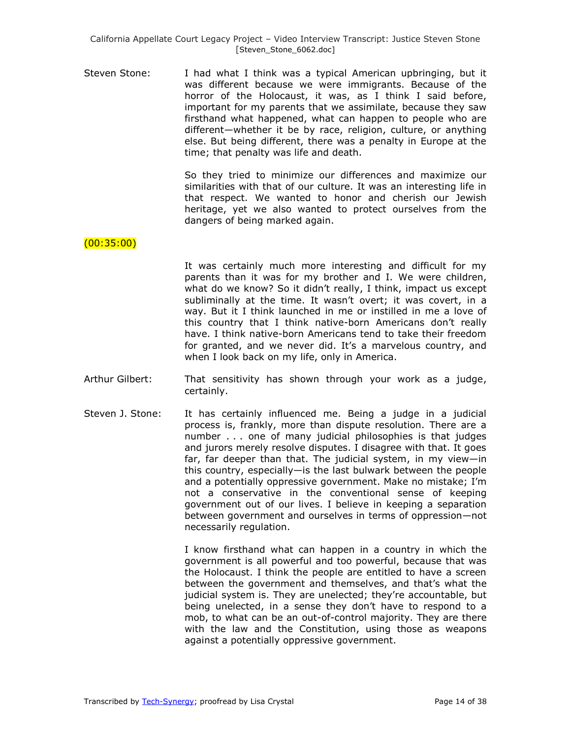Steven Stone: I had what I think was a typical American upbringing, but it was different because we were immigrants. Because of the horror of the Holocaust, it was, as I think I said before, important for my parents that we assimilate, because they saw firsthand what happened, what can happen to people who are different—whether it be by race, religion, culture, or anything else. But being different, there was a penalty in Europe at the time; that penalty was life and death.

> So they tried to minimize our differences and maximize our similarities with that of our culture. It was an interesting life in that respect. We wanted to honor and cherish our Jewish heritage, yet we also wanted to protect ourselves from the dangers of being marked again.

# (00:35:00)

It was certainly much more interesting and difficult for my parents than it was for my brother and I. We were children, what do we know? So it didn't really, I think, impact us except subliminally at the time. It wasn't overt; it was covert, in a way. But it I think launched in me or instilled in me a love of this country that I think native-born Americans don't really have. I think native-born Americans tend to take their freedom for granted, and we never did. It's a marvelous country, and when I look back on my life, only in America.

- Arthur Gilbert: That sensitivity has shown through your work as a judge, certainly.
- Steven J. Stone: It has certainly influenced me. Being a judge in a judicial process is, frankly, more than dispute resolution. There are a number . . . one of many judicial philosophies is that judges and jurors merely resolve disputes. I disagree with that. It goes far, far deeper than that. The judicial system, in my view—in this country, especially—is the last bulwark between the people and a potentially oppressive government. Make no mistake; I'm not a conservative in the conventional sense of keeping government out of our lives. I believe in keeping a separation between government and ourselves in terms of oppression—not necessarily regulation.

I know firsthand what can happen in a country in which the government is all powerful and too powerful, because that was the Holocaust. I think the people are entitled to have a screen between the government and themselves, and that's what the judicial system is. They are unelected; they're accountable, but being unelected, in a sense they don't have to respond to a mob, to what can be an out-of-control majority. They are there with the law and the Constitution, using those as weapons against a potentially oppressive government.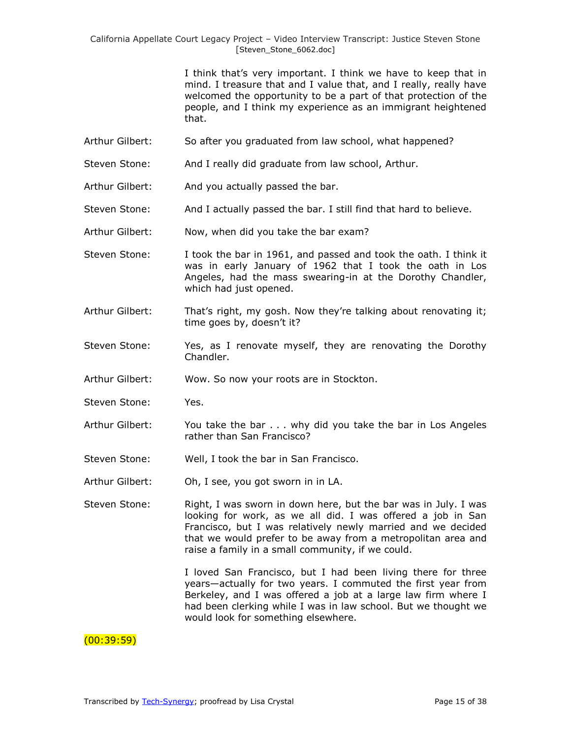I think that's very important. I think we have to keep that in mind. I treasure that and I value that, and I really, really have welcomed the opportunity to be a part of that protection of the people, and I think my experience as an immigrant heightened that.

- Arthur Gilbert: So after you graduated from law school, what happened?
- Steven Stone: And I really did graduate from law school, Arthur.
- Arthur Gilbert: And you actually passed the bar.
- Steven Stone: And I actually passed the bar. I still find that hard to believe.
- Arthur Gilbert: Now, when did you take the bar exam?
- Steven Stone: I took the bar in 1961, and passed and took the oath. I think it was in early January of 1962 that I took the oath in Los Angeles, had the mass swearing-in at the Dorothy Chandler, which had just opened.
- Arthur Gilbert: That's right, my gosh. Now they're talking about renovating it; time goes by, doesn't it?
- Steven Stone: Yes, as I renovate myself, they are renovating the Dorothy Chandler.
- Arthur Gilbert: Wow. So now your roots are in Stockton.
- Steven Stone: Yes.
- Arthur Gilbert: You take the bar . . . why did you take the bar in Los Angeles rather than San Francisco?
- Steven Stone: Well, I took the bar in San Francisco.
- Arthur Gilbert: Oh, I see, you got sworn in in LA.
- Steven Stone: Right, I was sworn in down here, but the bar was in July. I was looking for work, as we all did. I was offered a job in San Francisco, but I was relatively newly married and we decided that we would prefer to be away from a metropolitan area and raise a family in a small community, if we could.

I loved San Francisco, but I had been living there for three years—actually for two years. I commuted the first year from Berkeley, and I was offered a job at a large law firm where I had been clerking while I was in law school. But we thought we would look for something elsewhere.

#### $(00:39:59)$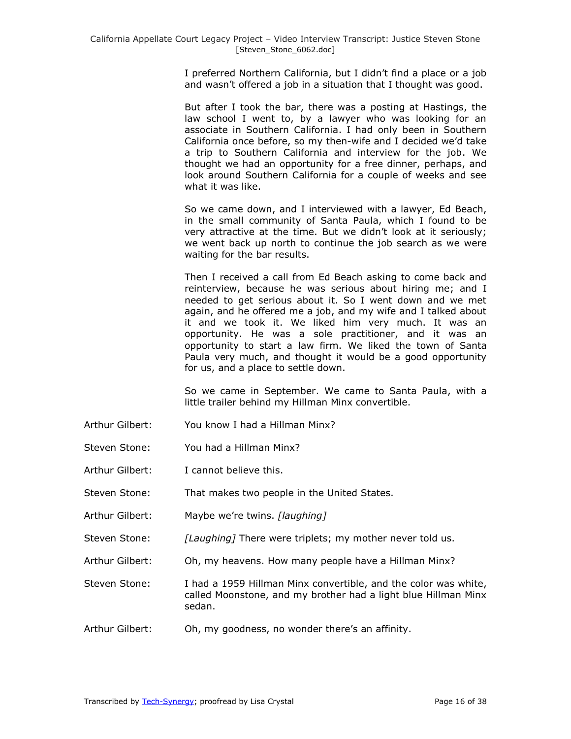I preferred Northern California, but I didn't find a place or a job and wasn't offered a job in a situation that I thought was good.

But after I took the bar, there was a posting at Hastings, the law school I went to, by a lawyer who was looking for an associate in Southern California. I had only been in Southern California once before, so my then-wife and I decided we'd take a trip to Southern California and interview for the job. We thought we had an opportunity for a free dinner, perhaps, and look around Southern California for a couple of weeks and see what it was like.

So we came down, and I interviewed with a lawyer, Ed Beach, in the small community of Santa Paula, which I found to be very attractive at the time. But we didn't look at it seriously; we went back up north to continue the job search as we were waiting for the bar results.

Then I received a call from Ed Beach asking to come back and reinterview, because he was serious about hiring me; and I needed to get serious about it. So I went down and we met again, and he offered me a job, and my wife and I talked about it and we took it. We liked him very much. It was an opportunity. He was a sole practitioner, and it was an opportunity to start a law firm. We liked the town of Santa Paula very much, and thought it would be a good opportunity for us, and a place to settle down.

So we came in September. We came to Santa Paula, with a little trailer behind my Hillman Minx convertible.

- Arthur Gilbert: You know I had a Hillman Minx?
- Steven Stone: You had a Hillman Minx?
- Arthur Gilbert: I cannot believe this.
- Steven Stone: That makes two people in the United States.
- Arthur Gilbert: Maybe we're twins. *[laughing]*
- Steven Stone: *[Laughing]* There were triplets; my mother never told us.
- Arthur Gilbert: Oh, my heavens. How many people have a Hillman Minx?

Steven Stone: I had a 1959 Hillman Minx convertible, and the color was white, called Moonstone, and my brother had a light blue Hillman Minx sedan.

Arthur Gilbert: Oh, my goodness, no wonder there's an affinity.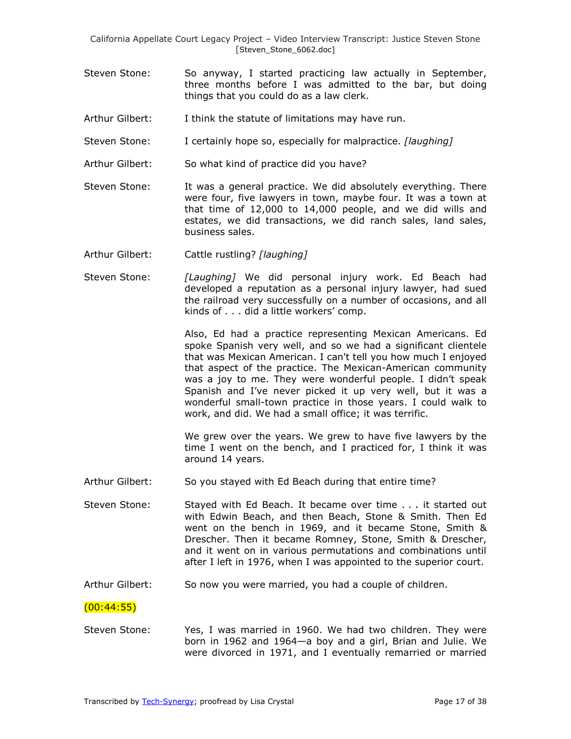- Steven Stone: So anyway, I started practicing law actually in September, three months before I was admitted to the bar, but doing things that you could do as a law clerk.
- Arthur Gilbert: I think the statute of limitations may have run.
- Steven Stone: I certainly hope so, especially for malpractice. *[laughing]*
- Arthur Gilbert: So what kind of practice did you have?
- Steven Stone: It was a general practice. We did absolutely everything. There were four, five lawyers in town, maybe four. It was a town at that time of 12,000 to 14,000 people, and we did wills and estates, we did transactions, we did ranch sales, land sales, business sales.
- Arthur Gilbert: Cattle rustling? *[laughing]*
- Steven Stone: *[Laughing]* We did personal injury work. Ed Beach had developed a reputation as a personal injury lawyer, had sued the railroad very successfully on a number of occasions, and all kinds of . . . did a little workers' comp.

Also, Ed had a practice representing Mexican Americans. Ed spoke Spanish very well, and so we had a significant clientele that was Mexican American. I can't tell you how much I enjoyed that aspect of the practice. The Mexican-American community was a joy to me. They were wonderful people. I didn't speak Spanish and I've never picked it up very well, but it was a wonderful small-town practice in those years. I could walk to work, and did. We had a small office; it was terrific.

We grew over the years. We grew to have five lawyers by the time I went on the bench, and I practiced for, I think it was around 14 years.

- Arthur Gilbert: So you stayed with Ed Beach during that entire time?
- Steven Stone: Stayed with Ed Beach. It became over time . . . it started out with Edwin Beach, and then Beach, Stone & Smith. Then Ed went on the bench in 1969, and it became Stone, Smith & Drescher. Then it became Romney, Stone, Smith & Drescher, and it went on in various permutations and combinations until after I left in 1976, when I was appointed to the superior court.
- Arthur Gilbert: So now you were married, you had a couple of children.

#### (00:44:55)

Steven Stone: Yes, I was married in 1960. We had two children. They were born in 1962 and 1964—a boy and a girl, Brian and Julie. We were divorced in 1971, and I eventually remarried or married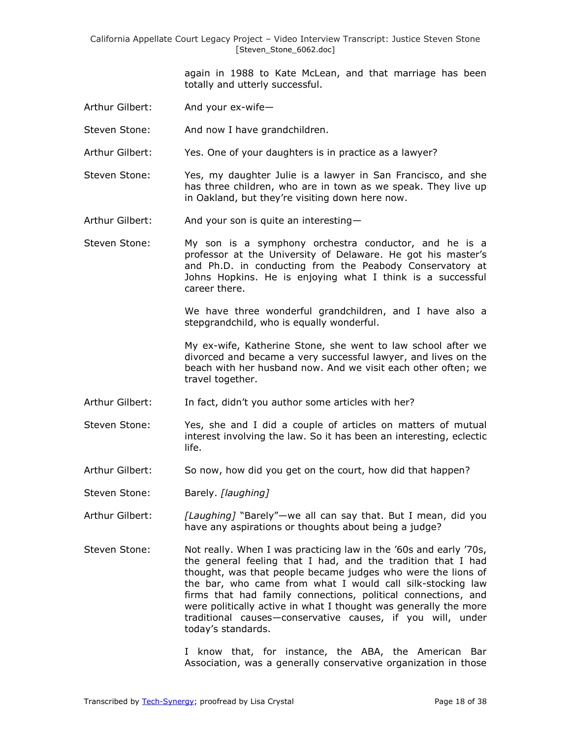> again in 1988 to Kate McLean, and that marriage has been totally and utterly successful.

- Arthur Gilbert: And your ex-wife—
- Steven Stone: And now I have grandchildren.
- Arthur Gilbert: Yes. One of your daughters is in practice as a lawyer?
- Steven Stone: Yes, my daughter Julie is a lawyer in San Francisco, and she has three children, who are in town as we speak. They live up in Oakland, but they're visiting down here now.
- Arthur Gilbert: And your son is quite an interesting—
- Steven Stone: My son is a symphony orchestra conductor, and he is a professor at the University of Delaware. He got his master's and Ph.D. in conducting from the Peabody Conservatory at Johns Hopkins. He is enjoying what I think is a successful career there.

We have three wonderful grandchildren, and I have also a stepgrandchild, who is equally wonderful.

My ex-wife, Katherine Stone, she went to law school after we divorced and became a very successful lawyer, and lives on the beach with her husband now. And we visit each other often; we travel together.

- Arthur Gilbert: In fact, didn't you author some articles with her?
- Steven Stone: Yes, she and I did a couple of articles on matters of mutual interest involving the law. So it has been an interesting, eclectic life.
- Arthur Gilbert: So now, how did you get on the court, how did that happen?
- Steven Stone: Barely. *[laughing]*
- Arthur Gilbert: *[Laughing]* "Barely"—we all can say that. But I mean, did you have any aspirations or thoughts about being a judge?
- Steven Stone: Not really. When I was practicing law in the '60s and early '70s, the general feeling that I had, and the tradition that I had thought, was that people became judges who were the lions of the bar, who came from what I would call silk-stocking law firms that had family connections, political connections, and were politically active in what I thought was generally the more traditional causes—conservative causes, if you will, under today's standards.

I know that, for instance, the ABA, the American Bar Association, was a generally conservative organization in those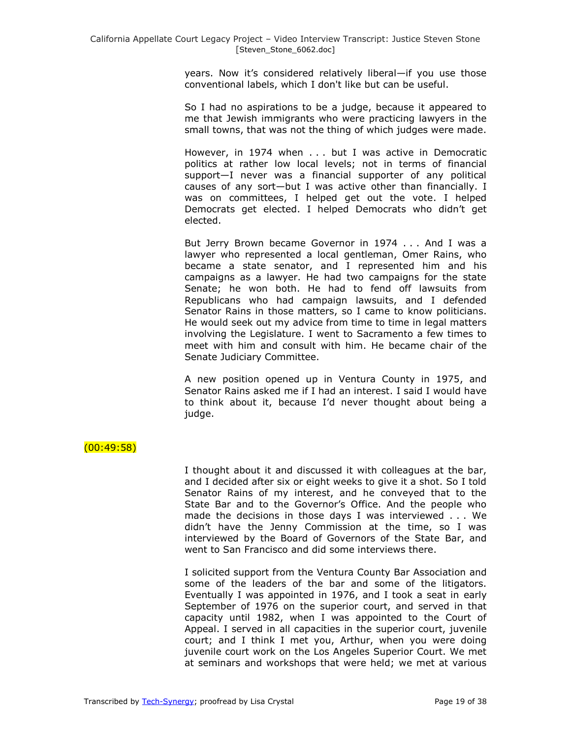years. Now it's considered relatively liberal—if you use those conventional labels, which I don't like but can be useful.

So I had no aspirations to be a judge, because it appeared to me that Jewish immigrants who were practicing lawyers in the small towns, that was not the thing of which judges were made.

However, in 1974 when . . . but I was active in Democratic politics at rather low local levels; not in terms of financial support—I never was a financial supporter of any political causes of any sort—but I was active other than financially. I was on committees, I helped get out the vote. I helped Democrats get elected. I helped Democrats who didn't get elected.

But Jerry Brown became Governor in 1974 . . . And I was a lawyer who represented a local gentleman, Omer Rains, who became a state senator, and I represented him and his campaigns as a lawyer. He had two campaigns for the state Senate; he won both. He had to fend off lawsuits from Republicans who had campaign lawsuits, and I defended Senator Rains in those matters, so I came to know politicians. He would seek out my advice from time to time in legal matters involving the Legislature. I went to Sacramento a few times to meet with him and consult with him. He became chair of the Senate Judiciary Committee.

A new position opened up in Ventura County in 1975, and Senator Rains asked me if I had an interest. I said I would have to think about it, because I'd never thought about being a judge.

# $(00:49:58)$

I thought about it and discussed it with colleagues at the bar, and I decided after six or eight weeks to give it a shot. So I told Senator Rains of my interest, and he conveyed that to the State Bar and to the Governor's Office. And the people who made the decisions in those days I was interviewed . . . We didn't have the Jenny Commission at the time, so I was interviewed by the Board of Governors of the State Bar, and went to San Francisco and did some interviews there.

I solicited support from the Ventura County Bar Association and some of the leaders of the bar and some of the litigators. Eventually I was appointed in 1976, and I took a seat in early September of 1976 on the superior court, and served in that capacity until 1982, when I was appointed to the Court of Appeal. I served in all capacities in the superior court, juvenile court; and I think I met you, Arthur, when you were doing juvenile court work on the Los Angeles Superior Court. We met at seminars and workshops that were held; we met at various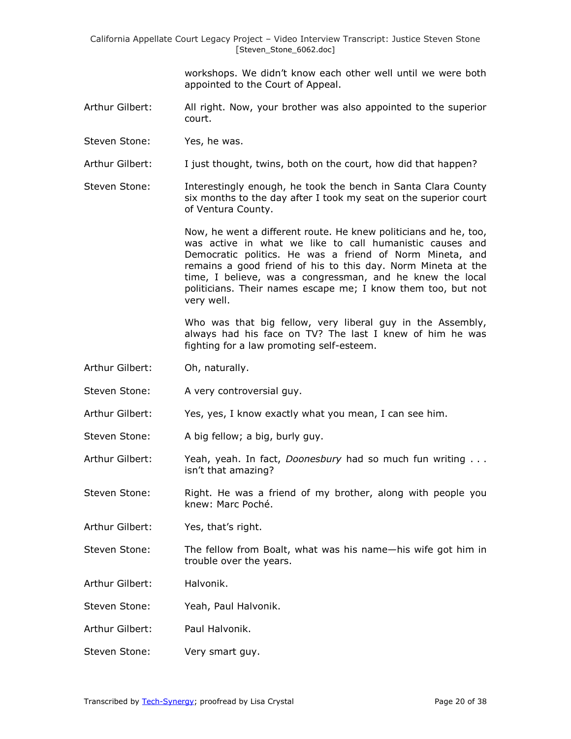workshops. We didn't know each other well until we were both appointed to the Court of Appeal.

- Arthur Gilbert: All right. Now, your brother was also appointed to the superior court.
- Steven Stone: Yes, he was.
- Arthur Gilbert: I just thought, twins, both on the court, how did that happen?
- Steven Stone: Interestingly enough, he took the bench in Santa Clara County six months to the day after I took my seat on the superior court of Ventura County.

Now, he went a different route. He knew politicians and he, too, was active in what we like to call humanistic causes and Democratic politics. He was a friend of Norm Mineta, and remains a good friend of his to this day. Norm Mineta at the time, I believe, was a congressman, and he knew the local politicians. Their names escape me; I know them too, but not very well.

Who was that big fellow, very liberal guy in the Assembly, always had his face on TV? The last I knew of him he was fighting for a law promoting self-esteem.

- Arthur Gilbert: Oh, naturally.
- Steven Stone: A very controversial guy.
- Arthur Gilbert: Yes, yes, I know exactly what you mean, I can see him.
- Steven Stone: A big fellow; a big, burly guy.
- Arthur Gilbert: Yeah, yeah. In fact, *Doonesbury* had so much fun writing . . . isn't that amazing?
- Steven Stone: Right. He was a friend of my brother, along with people you knew: Marc Poché.
- Arthur Gilbert: Yes, that's right.
- Steven Stone: The fellow from Boalt, what was his name—his wife got him in trouble over the years.
- Arthur Gilbert: Halvonik.
- Steven Stone: Yeah, Paul Halvonik.
- Arthur Gilbert: Paul Halvonik.
- Steven Stone: Very smart guy.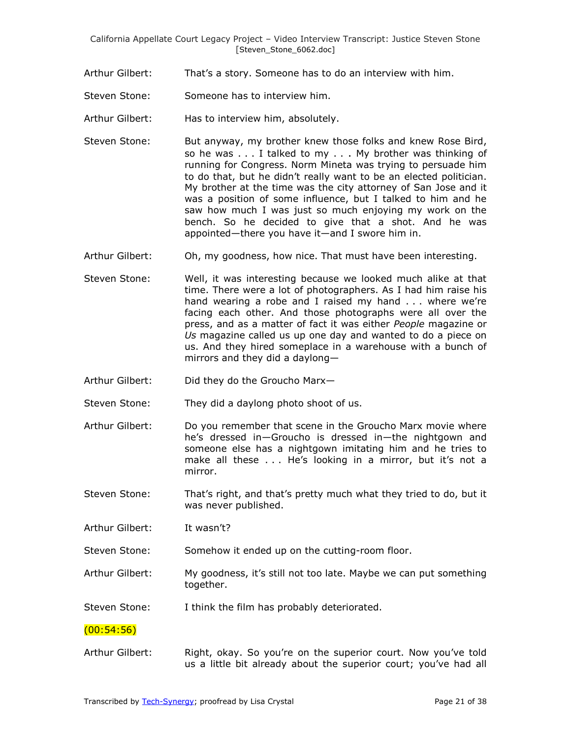- Arthur Gilbert: That's a story. Someone has to do an interview with him.
- Steven Stone: Someone has to interview him.
- Arthur Gilbert: Has to interview him, absolutely.
- Steven Stone: But anyway, my brother knew those folks and knew Rose Bird, so he was . . . I talked to my . . . My brother was thinking of running for Congress. Norm Mineta was trying to persuade him to do that, but he didn't really want to be an elected politician. My brother at the time was the city attorney of San Jose and it was a position of some influence, but I talked to him and he saw how much I was just so much enjoying my work on the bench. So he decided to give that a shot. And he was appointed—there you have it—and I swore him in.
- Arthur Gilbert: Oh, my goodness, how nice. That must have been interesting.
- Steven Stone: Well, it was interesting because we looked much alike at that time. There were a lot of photographers. As I had him raise his hand wearing a robe and I raised my hand ... where we're facing each other. And those photographs were all over the press, and as a matter of fact it was either *People* magazine or *Us* magazine called us up one day and wanted to do a piece on us. And they hired someplace in a warehouse with a bunch of mirrors and they did a daylong—
- Arthur Gilbert: Did they do the Groucho Marx—
- Steven Stone: They did a daylong photo shoot of us.
- Arthur Gilbert: Do you remember that scene in the Groucho Marx movie where he's dressed in—Groucho is dressed in—the nightgown and someone else has a nightgown imitating him and he tries to make all these . . . He's looking in a mirror, but it's not a mirror.
- Steven Stone: That's right, and that's pretty much what they tried to do, but it was never published.
- Arthur Gilbert: It wasn't?

Steven Stone: Somehow it ended up on the cutting-room floor.

Arthur Gilbert: My goodness, it's still not too late. Maybe we can put something together.

Steven Stone: I think the film has probably deteriorated.

(00:54:56)

Arthur Gilbert: Right, okay. So you're on the superior court. Now you've told us a little bit already about the superior court; you've had all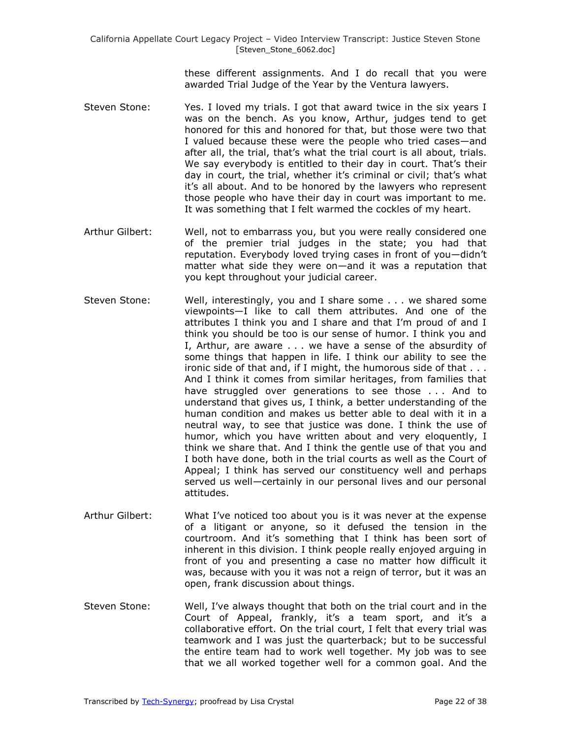these different assignments. And I do recall that you were awarded Trial Judge of the Year by the Ventura lawyers.

- Steven Stone: Yes. I loved my trials. I got that award twice in the six years I was on the bench. As you know, Arthur, judges tend to get honored for this and honored for that, but those were two that I valued because these were the people who tried cases—and after all, the trial, that's what the trial court is all about, trials. We say everybody is entitled to their day in court. That's their day in court, the trial, whether it's criminal or civil; that's what it's all about. And to be honored by the lawyers who represent those people who have their day in court was important to me. It was something that I felt warmed the cockles of my heart.
- Arthur Gilbert: Well, not to embarrass you, but you were really considered one of the premier trial judges in the state; you had that reputation. Everybody loved trying cases in front of you—didn't matter what side they were on—and it was a reputation that you kept throughout your judicial career.
- Steven Stone: Well, interestingly, you and I share some . . . we shared some viewpoints—I like to call them attributes. And one of the attributes I think you and I share and that I'm proud of and I think you should be too is our sense of humor. I think you and I, Arthur, are aware . . . we have a sense of the absurdity of some things that happen in life. I think our ability to see the ironic side of that and, if I might, the humorous side of that . . . And I think it comes from similar heritages, from families that have struggled over generations to see those . . . And to understand that gives us, I think, a better understanding of the human condition and makes us better able to deal with it in a neutral way, to see that justice was done. I think the use of humor, which you have written about and very eloquently, I think we share that. And I think the gentle use of that you and I both have done, both in the trial courts as well as the Court of Appeal; I think has served our constituency well and perhaps served us well—certainly in our personal lives and our personal attitudes.
- Arthur Gilbert: What I've noticed too about you is it was never at the expense of a litigant or anyone, so it defused the tension in the courtroom. And it's something that I think has been sort of inherent in this division. I think people really enjoyed arguing in front of you and presenting a case no matter how difficult it was, because with you it was not a reign of terror, but it was an open, frank discussion about things.
- Steven Stone: Well, I've always thought that both on the trial court and in the Court of Appeal, frankly, it's a team sport, and it's a collaborative effort. On the trial court, I felt that every trial was teamwork and I was just the quarterback; but to be successful the entire team had to work well together. My job was to see that we all worked together well for a common goal. And the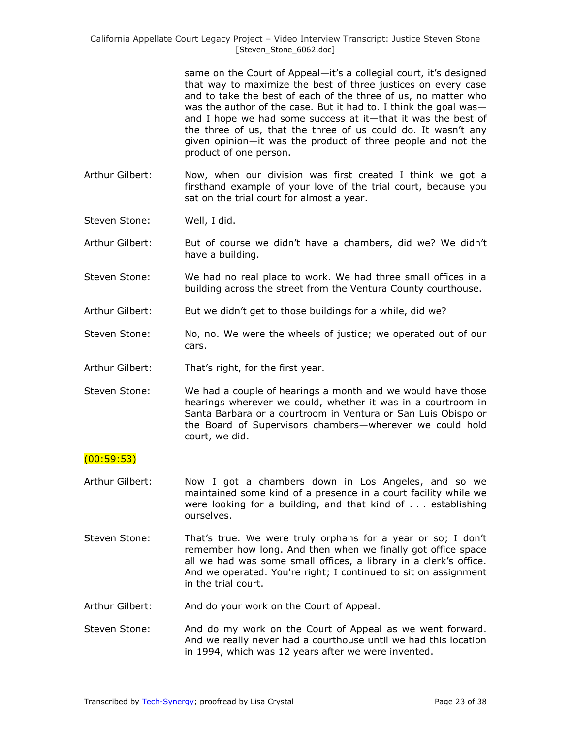same on the Court of Appeal—it's a collegial court, it's designed that way to maximize the best of three justices on every case and to take the best of each of the three of us, no matter who was the author of the case. But it had to. I think the goal was and I hope we had some success at it—that it was the best of the three of us, that the three of us could do. It wasn't any given opinion—it was the product of three people and not the product of one person.

- Arthur Gilbert: Now, when our division was first created I think we got a firsthand example of your love of the trial court, because you sat on the trial court for almost a year.
- Steven Stone: Well, I did.
- Arthur Gilbert: But of course we didn't have a chambers, did we? We didn't have a building.
- Steven Stone: We had no real place to work. We had three small offices in a building across the street from the Ventura County courthouse.
- Arthur Gilbert: But we didn't get to those buildings for a while, did we?
- Steven Stone: No, no. We were the wheels of justice; we operated out of our cars.
- Arthur Gilbert: That's right, for the first year.
- Steven Stone: We had a couple of hearings a month and we would have those hearings wherever we could, whether it was in a courtroom in Santa Barbara or a courtroom in Ventura or San Luis Obispo or the Board of Supervisors chambers—wherever we could hold court, we did.

### (00:59:53)

- Arthur Gilbert: Now I got a chambers down in Los Angeles, and so we maintained some kind of a presence in a court facility while we were looking for a building, and that kind of . . . establishing ourselves.
- Steven Stone: That's true. We were truly orphans for a year or so; I don't remember how long. And then when we finally got office space all we had was some small offices, a library in a clerk's office. And we operated. You're right; I continued to sit on assignment in the trial court.
- Arthur Gilbert: And do your work on the Court of Appeal.
- Steven Stone: And do my work on the Court of Appeal as we went forward. And we really never had a courthouse until we had this location in 1994, which was 12 years after we were invented.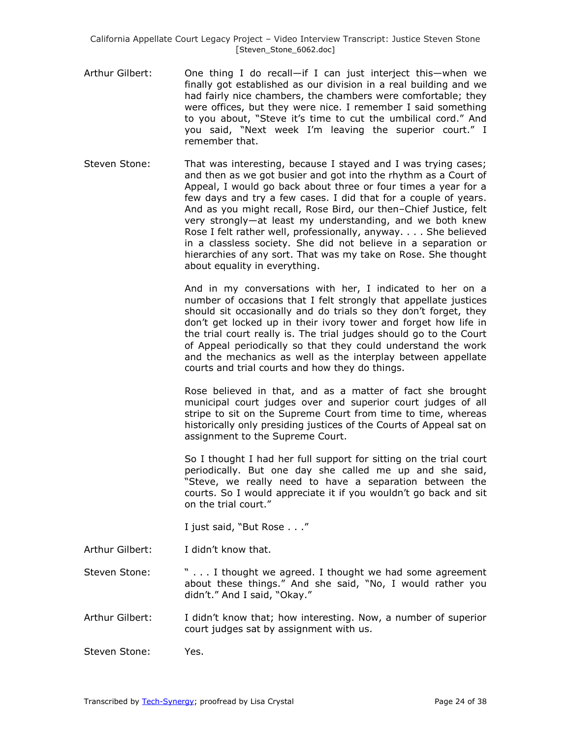- Arthur Gilbert: One thing I do recall—if I can just interject this—when we finally got established as our division in a real building and we had fairly nice chambers, the chambers were comfortable; they were offices, but they were nice. I remember I said something to you about, "Steve it's time to cut the umbilical cord." And you said, "Next week I'm leaving the superior court." I remember that.
- Steven Stone: That was interesting, because I stayed and I was trying cases; and then as we got busier and got into the rhythm as a Court of Appeal, I would go back about three or four times a year for a few days and try a few cases. I did that for a couple of years. And as you might recall, Rose Bird, our then–Chief Justice, felt very strongly—at least my understanding, and we both knew Rose I felt rather well, professionally, anyway. . . . She believed in a classless society. She did not believe in a separation or hierarchies of any sort. That was my take on Rose. She thought about equality in everything.

And in my conversations with her, I indicated to her on a number of occasions that I felt strongly that appellate justices should sit occasionally and do trials so they don't forget, they don't get locked up in their ivory tower and forget how life in the trial court really is. The trial judges should go to the Court of Appeal periodically so that they could understand the work and the mechanics as well as the interplay between appellate courts and trial courts and how they do things.

Rose believed in that, and as a matter of fact she brought municipal court judges over and superior court judges of all stripe to sit on the Supreme Court from time to time, whereas historically only presiding justices of the Courts of Appeal sat on assignment to the Supreme Court.

So I thought I had her full support for sitting on the trial court periodically. But one day she called me up and she said, "Steve, we really need to have a separation between the courts. So I would appreciate it if you wouldn't go back and sit on the trial court."

I just said, "But Rose . . ."

Arthur Gilbert: I didn't know that.

Steven Stone: " . . . I thought we agreed. I thought we had some agreement about these things." And she said, "No, I would rather you didn't." And I said, "Okay."

- Arthur Gilbert: I didn't know that; how interesting. Now, a number of superior court judges sat by assignment with us.
- Steven Stone: Yes.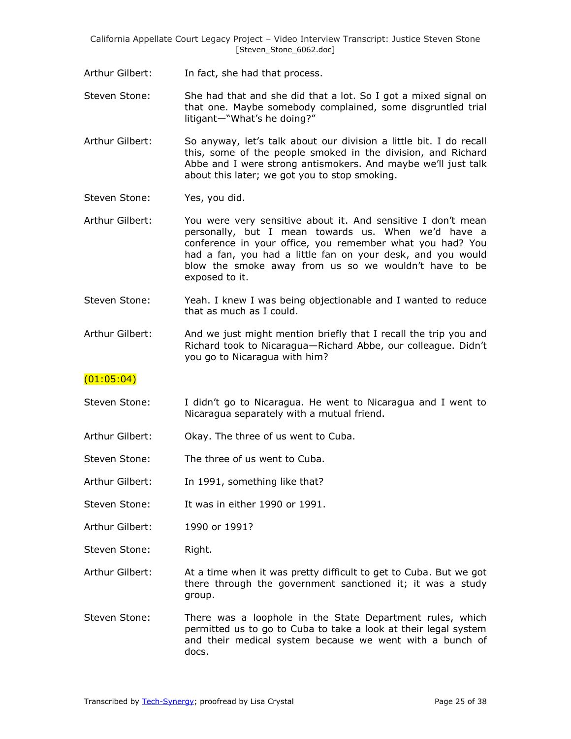Arthur Gilbert: In fact, she had that process.

Steven Stone: She had that and she did that a lot. So I got a mixed signal on that one. Maybe somebody complained, some disgruntled trial litigant—"What's he doing?"

- Arthur Gilbert: So anyway, let's talk about our division a little bit. I do recall this, some of the people smoked in the division, and Richard Abbe and I were strong antismokers. And maybe we'll just talk about this later; we got you to stop smoking.
- Steven Stone: Yes, you did.
- Arthur Gilbert: You were very sensitive about it. And sensitive I don't mean personally, but I mean towards us. When we'd have a conference in your office, you remember what you had? You had a fan, you had a little fan on your desk, and you would blow the smoke away from us so we wouldn't have to be exposed to it.
- Steven Stone: Yeah. I knew I was being objectionable and I wanted to reduce that as much as I could.
- Arthur Gilbert: And we just might mention briefly that I recall the trip you and Richard took to Nicaragua—Richard Abbe, our colleague. Didn't you go to Nicaragua with him?

### $(01:05:04)$

- Steven Stone: I didn't go to Nicaragua. He went to Nicaragua and I went to Nicaragua separately with a mutual friend.
- Arthur Gilbert: Okay. The three of us went to Cuba.
- Steven Stone: The three of us went to Cuba.
- Arthur Gilbert: In 1991, something like that?
- Steven Stone: It was in either 1990 or 1991.
- Arthur Gilbert: 1990 or 1991?

Steven Stone: Right.

- Arthur Gilbert: At a time when it was pretty difficult to get to Cuba. But we got there through the government sanctioned it; it was a study group.
- Steven Stone: There was a loophole in the State Department rules, which permitted us to go to Cuba to take a look at their legal system and their medical system because we went with a bunch of docs.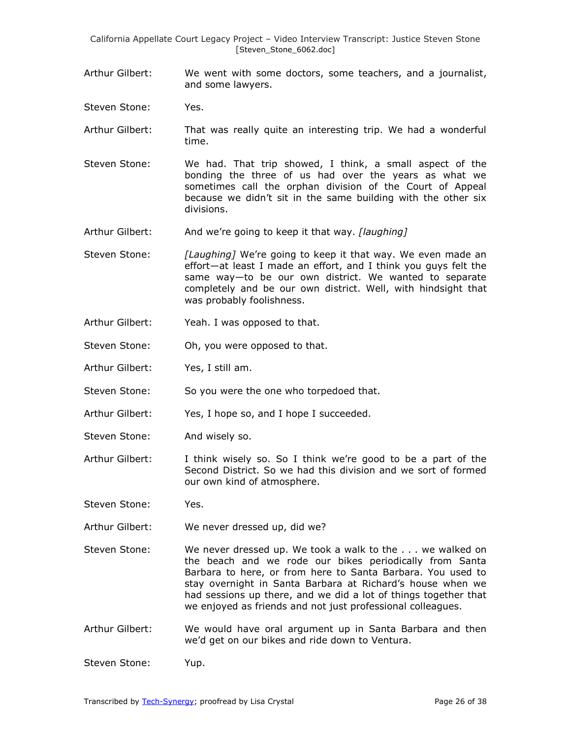- Arthur Gilbert: We went with some doctors, some teachers, and a journalist, and some lawyers.
- Steven Stone: Yes.
- Arthur Gilbert: That was really quite an interesting trip. We had a wonderful time.
- Steven Stone: We had. That trip showed, I think, a small aspect of the bonding the three of us had over the years as what we sometimes call the orphan division of the Court of Appeal because we didn't sit in the same building with the other six divisions.
- Arthur Gilbert: And we're going to keep it that way. *[laughing]*
- Steven Stone: *[Laughing]* We're going to keep it that way. We even made an effort—at least I made an effort, and I think you guys felt the same way—to be our own district. We wanted to separate completely and be our own district. Well, with hindsight that was probably foolishness.
- Arthur Gilbert: Yeah. I was opposed to that.
- Steven Stone: Oh, you were opposed to that.
- Arthur Gilbert: Yes, I still am.
- Steven Stone: So you were the one who torpedoed that.
- Arthur Gilbert: Yes, I hope so, and I hope I succeeded.
- Steven Stone: And wisely so.
- Arthur Gilbert: I think wisely so. So I think we're good to be a part of the Second District. So we had this division and we sort of formed our own kind of atmosphere.
- Steven Stone: Yes.
- Arthur Gilbert: We never dressed up, did we?
- Steven Stone: We never dressed up. We took a walk to the . . . we walked on the beach and we rode our bikes periodically from Santa Barbara to here, or from here to Santa Barbara. You used to stay overnight in Santa Barbara at Richard's house when we had sessions up there, and we did a lot of things together that we enjoyed as friends and not just professional colleagues.
- Arthur Gilbert: We would have oral argument up in Santa Barbara and then we'd get on our bikes and ride down to Ventura.

Steven Stone: Yup.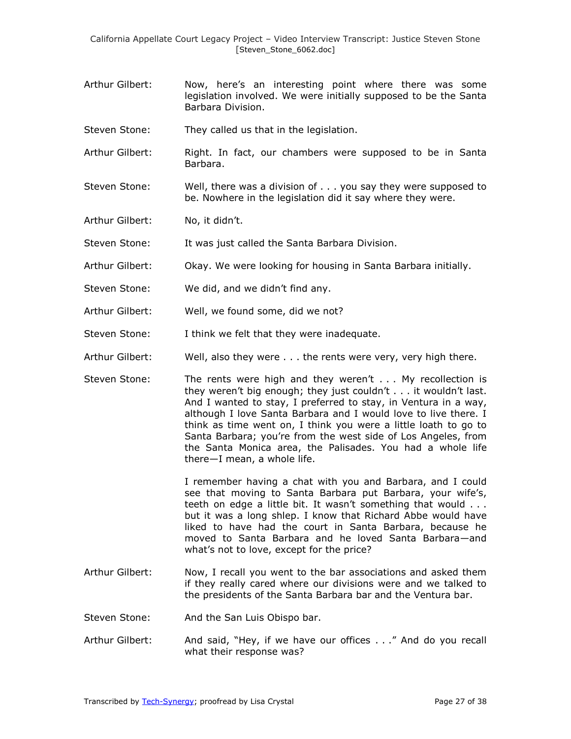- Arthur Gilbert: Now, here's an interesting point where there was some legislation involved. We were initially supposed to be the Santa Barbara Division.
- Steven Stone: They called us that in the legislation.
- Arthur Gilbert: Right. In fact, our chambers were supposed to be in Santa Barbara.
- Steven Stone: Well, there was a division of . . . you say they were supposed to be. Nowhere in the legislation did it say where they were.
- Arthur Gilbert: No, it didn't.
- Steven Stone: It was just called the Santa Barbara Division.
- Arthur Gilbert: Okay. We were looking for housing in Santa Barbara initially.
- Steven Stone: We did, and we didn't find any.
- Arthur Gilbert: Well, we found some, did we not?
- Steven Stone: I think we felt that they were inadequate.
- Arthur Gilbert: Well, also they were . . . the rents were very, very high there.
- Steven Stone: The rents were high and they weren't . . . My recollection is they weren't big enough; they just couldn't . . . it wouldn't last. And I wanted to stay, I preferred to stay, in Ventura in a way, although I love Santa Barbara and I would love to live there. I think as time went on, I think you were a little loath to go to Santa Barbara; you're from the west side of Los Angeles, from the Santa Monica area, the Palisades. You had a whole life there—I mean, a whole life.

I remember having a chat with you and Barbara, and I could see that moving to Santa Barbara put Barbara, your wife's, teeth on edge a little bit. It wasn't something that would . . . but it was a long shlep. I know that Richard Abbe would have liked to have had the court in Santa Barbara, because he moved to Santa Barbara and he loved Santa Barbara—and what's not to love, except for the price?

- Arthur Gilbert: Now, I recall you went to the bar associations and asked them if they really cared where our divisions were and we talked to the presidents of the Santa Barbara bar and the Ventura bar.
- Steven Stone: And the San Luis Obispo bar.
- Arthur Gilbert: And said, "Hey, if we have our offices . . ." And do you recall what their response was?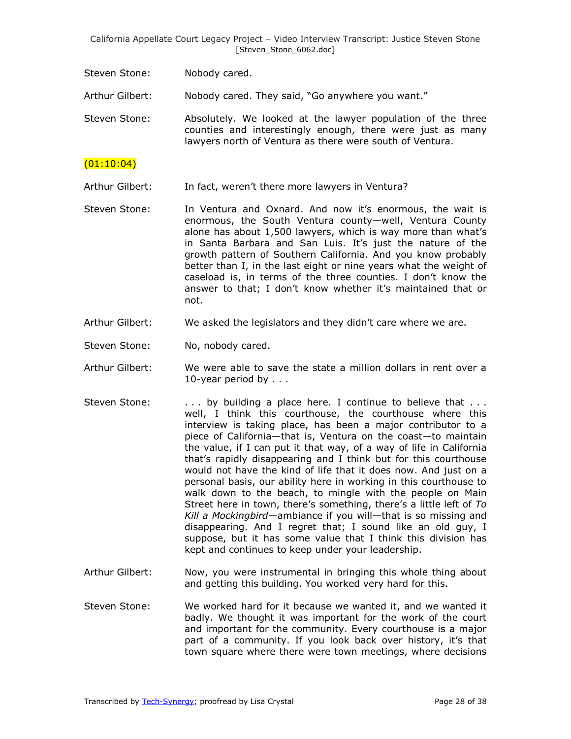Steven Stone: Nobody cared.

Arthur Gilbert: Nobody cared. They said, "Go anywhere you want."

Steven Stone: Absolutely. We looked at the lawyer population of the three counties and interestingly enough, there were just as many lawyers north of Ventura as there were south of Ventura.

## $(01:10:04)$

Arthur Gilbert: In fact, weren't there more lawyers in Ventura?

- Steven Stone: In Ventura and Oxnard. And now it's enormous, the wait is enormous, the South Ventura county—well, Ventura County alone has about 1,500 lawyers, which is way more than what's in Santa Barbara and San Luis. It's just the nature of the growth pattern of Southern California. And you know probably better than I, in the last eight or nine years what the weight of caseload is, in terms of the three counties. I don't know the answer to that; I don't know whether it's maintained that or not.
- Arthur Gilbert: We asked the legislators and they didn't care where we are.
- Steven Stone: No, nobody cared.
- Arthur Gilbert: We were able to save the state a million dollars in rent over a 10-year period by . . .
- Steven Stone:  $\ldots$  by building a place here. I continue to believe that  $\ldots$ well, I think this courthouse, the courthouse where this interview is taking place, has been a major contributor to a piece of California—that is, Ventura on the coast—to maintain the value, if I can put it that way, of a way of life in California that's rapidly disappearing and I think but for this courthouse would not have the kind of life that it does now. And just on a personal basis, our ability here in working in this courthouse to walk down to the beach, to mingle with the people on Main Street here in town, there's something, there's a little left of *To Kill a Mockingbird*—ambiance if you will—that is so missing and disappearing. And I regret that; I sound like an old guy, I suppose, but it has some value that I think this division has kept and continues to keep under your leadership.
- Arthur Gilbert: Now, you were instrumental in bringing this whole thing about and getting this building. You worked very hard for this.
- Steven Stone: We worked hard for it because we wanted it, and we wanted it badly. We thought it was important for the work of the court and important for the community. Every courthouse is a major part of a community. If you look back over history, it's that town square where there were town meetings, where decisions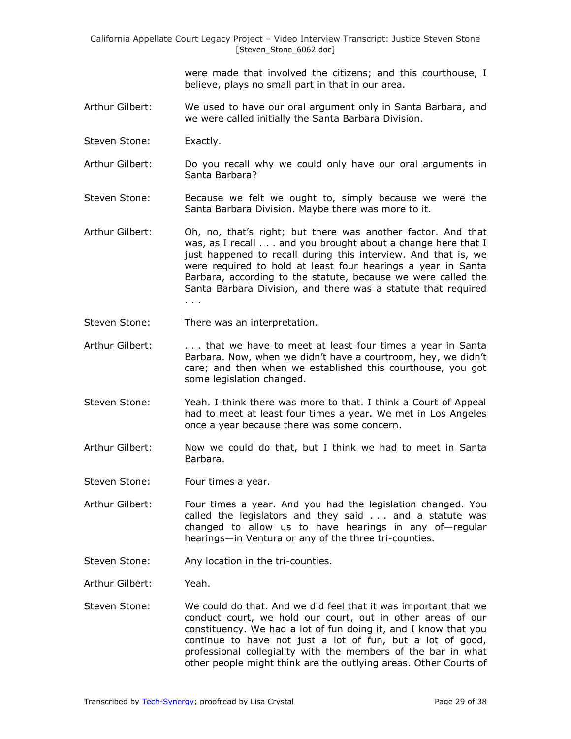were made that involved the citizens; and this courthouse, I believe, plays no small part in that in our area.

- Arthur Gilbert: We used to have our oral argument only in Santa Barbara, and we were called initially the Santa Barbara Division.
- Steven Stone: Exactly.
- Arthur Gilbert: Do you recall why we could only have our oral arguments in Santa Barbara?
- Steven Stone: Because we felt we ought to, simply because we were the Santa Barbara Division. Maybe there was more to it.
- Arthur Gilbert: Oh, no, that's right; but there was another factor. And that was, as I recall . . . and you brought about a change here that I just happened to recall during this interview. And that is, we were required to hold at least four hearings a year in Santa Barbara, according to the statute, because we were called the Santa Barbara Division, and there was a statute that required . . .
- Steven Stone: There was an interpretation.
- Arthur Gilbert: . . . . that we have to meet at least four times a year in Santa Barbara. Now, when we didn't have a courtroom, hey, we didn't care; and then when we established this courthouse, you got some legislation changed.
- Steven Stone: Yeah. I think there was more to that. I think a Court of Appeal had to meet at least four times a year. We met in Los Angeles once a year because there was some concern.
- Arthur Gilbert: Now we could do that, but I think we had to meet in Santa Barbara.
- Steven Stone: Four times a year.
- Arthur Gilbert: Four times a year. And you had the legislation changed. You called the legislators and they said . . . and a statute was changed to allow us to have hearings in any of—regular hearings—in Ventura or any of the three tri-counties.
- Steven Stone: Any location in the tri-counties.
- Arthur Gilbert: Yeah.
- Steven Stone: We could do that. And we did feel that it was important that we conduct court, we hold our court, out in other areas of our constituency. We had a lot of fun doing it, and I know that you continue to have not just a lot of fun, but a lot of good, professional collegiality with the members of the bar in what other people might think are the outlying areas. Other Courts of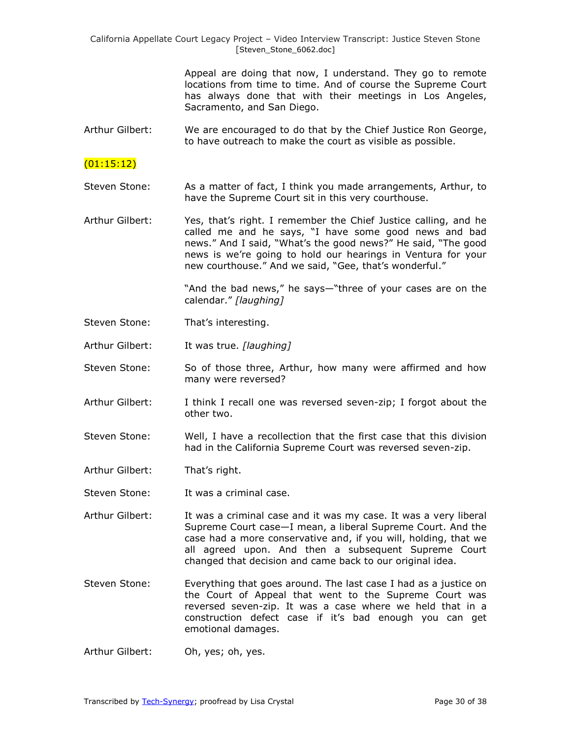> Appeal are doing that now, I understand. They go to remote locations from time to time. And of course the Supreme Court has always done that with their meetings in Los Angeles, Sacramento, and San Diego.

Arthur Gilbert: We are encouraged to do that by the Chief Justice Ron George, to have outreach to make the court as visible as possible.

## $(01:15:12)$

- Steven Stone: As a matter of fact, I think you made arrangements, Arthur, to have the Supreme Court sit in this very courthouse.
- Arthur Gilbert: Yes, that's right. I remember the Chief Justice calling, and he called me and he says, "I have some good news and bad news." And I said, "What's the good news?" He said, "The good news is we're going to hold our hearings in Ventura for your new courthouse." And we said, "Gee, that's wonderful."

"And the bad news," he says—"three of your cases are on the calendar.‖ *[laughing]*

- Steven Stone: That's interesting.
- Arthur Gilbert: It was true. *[laughing]*
- Steven Stone: So of those three, Arthur, how many were affirmed and how many were reversed?
- Arthur Gilbert: I think I recall one was reversed seven-zip; I forgot about the other two.
- Steven Stone: Well, I have a recollection that the first case that this division had in the California Supreme Court was reversed seven-zip.
- Arthur Gilbert: That's right.
- Steven Stone: It was a criminal case.
- Arthur Gilbert: It was a criminal case and it was my case. It was a very liberal Supreme Court case—I mean, a liberal Supreme Court. And the case had a more conservative and, if you will, holding, that we all agreed upon. And then a subsequent Supreme Court changed that decision and came back to our original idea.
- Steven Stone: Everything that goes around. The last case I had as a justice on the Court of Appeal that went to the Supreme Court was reversed seven-zip. It was a case where we held that in a construction defect case if it's bad enough you can get emotional damages.
- Arthur Gilbert: Oh, yes; oh, yes.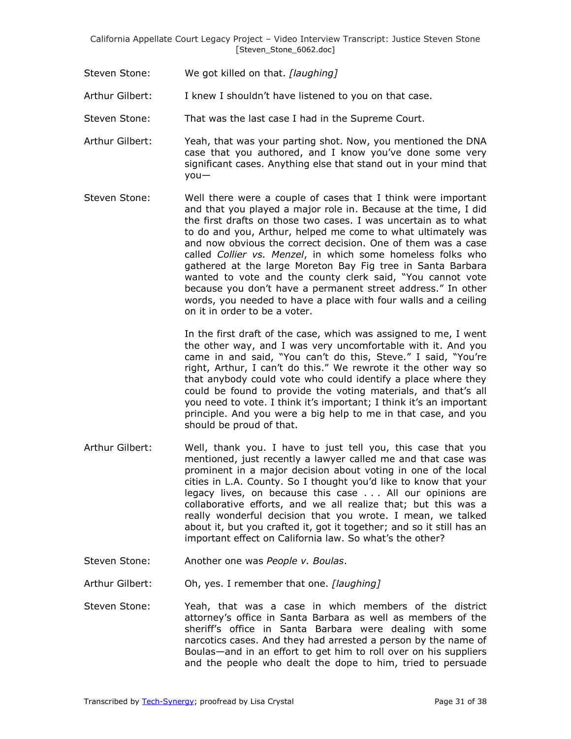Steven Stone: We got killed on that. *[laughing]*

Arthur Gilbert: I knew I shouldn't have listened to you on that case.

- Steven Stone: That was the last case I had in the Supreme Court.
- Arthur Gilbert: Yeah, that was your parting shot. Now, you mentioned the DNA case that you authored, and I know you've done some very significant cases. Anything else that stand out in your mind that you—
- Steven Stone: Well there were a couple of cases that I think were important and that you played a major role in. Because at the time, I did the first drafts on those two cases. I was uncertain as to what to do and you, Arthur, helped me come to what ultimately was and now obvious the correct decision. One of them was a case called *Collier vs. Menzel*, in which some homeless folks who gathered at the large Moreton Bay Fig tree in Santa Barbara wanted to vote and the county clerk said, "You cannot vote because you don't have a permanent street address." In other words, you needed to have a place with four walls and a ceiling on it in order to be a voter.

In the first draft of the case, which was assigned to me, I went the other way, and I was very uncomfortable with it. And you came in and said, "You can't do this, Steve." I said, "You're right, Arthur, I can't do this." We rewrote it the other way so that anybody could vote who could identify a place where they could be found to provide the voting materials, and that's all you need to vote. I think it's important; I think it's an important principle. And you were a big help to me in that case, and you should be proud of that.

- Arthur Gilbert: Well, thank you. I have to just tell you, this case that you mentioned, just recently a lawyer called me and that case was prominent in a major decision about voting in one of the local cities in L.A. County. So I thought you'd like to know that your legacy lives, on because this case . . . All our opinions are collaborative efforts, and we all realize that; but this was a really wonderful decision that you wrote. I mean, we talked about it, but you crafted it, got it together; and so it still has an important effect on California law. So what's the other?
- Steven Stone: Another one was *People v. Boulas*.

Arthur Gilbert: Oh, yes. I remember that one. *[laughing]*

Steven Stone: Yeah, that was a case in which members of the district attorney's office in Santa Barbara as well as members of the sheriff's office in Santa Barbara were dealing with some narcotics cases. And they had arrested a person by the name of Boulas—and in an effort to get him to roll over on his suppliers and the people who dealt the dope to him, tried to persuade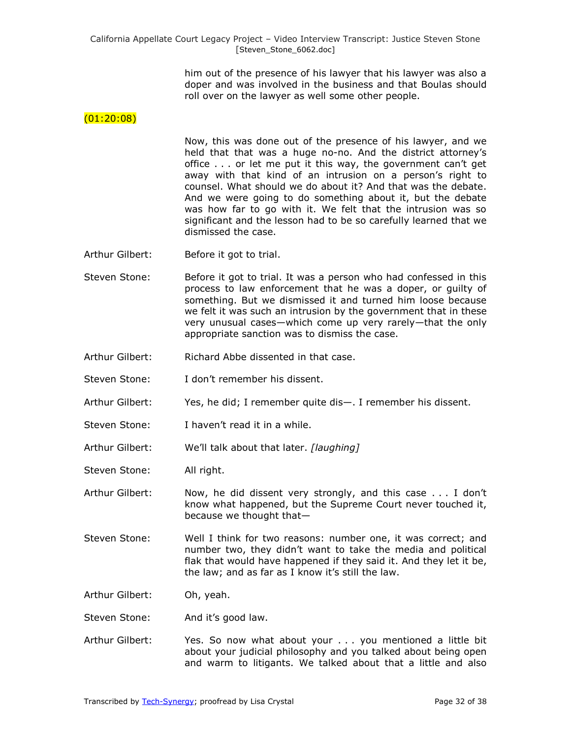him out of the presence of his lawyer that his lawyer was also a doper and was involved in the business and that Boulas should roll over on the lawyer as well some other people.

### $(01:20:08)$

Now, this was done out of the presence of his lawyer, and we held that that was a huge no-no. And the district attorney's office . . . or let me put it this way, the government can't get away with that kind of an intrusion on a person's right to counsel. What should we do about it? And that was the debate. And we were going to do something about it, but the debate was how far to go with it. We felt that the intrusion was so significant and the lesson had to be so carefully learned that we dismissed the case.

- Arthur Gilbert: Before it got to trial.
- Steven Stone: Before it got to trial. It was a person who had confessed in this process to law enforcement that he was a doper, or guilty of something. But we dismissed it and turned him loose because we felt it was such an intrusion by the government that in these very unusual cases—which come up very rarely—that the only appropriate sanction was to dismiss the case.
- Arthur Gilbert: Richard Abbe dissented in that case.
- Steven Stone: I don't remember his dissent.
- Arthur Gilbert: Yes, he did; I remember quite dis—. I remember his dissent.
- Steven Stone: I haven't read it in a while.
- Arthur Gilbert: We'll talk about that later. *[laughing]*
- Steven Stone: All right.

Arthur Gilbert: Now, he did dissent very strongly, and this case . . . I don't know what happened, but the Supreme Court never touched it, because we thought that—

Steven Stone: Well I think for two reasons: number one, it was correct; and number two, they didn't want to take the media and political flak that would have happened if they said it. And they let it be, the law; and as far as I know it's still the law.

Arthur Gilbert: Oh, yeah.

- Steven Stone: And it's good law.
- Arthur Gilbert: Yes. So now what about your . . . you mentioned a little bit about your judicial philosophy and you talked about being open and warm to litigants. We talked about that a little and also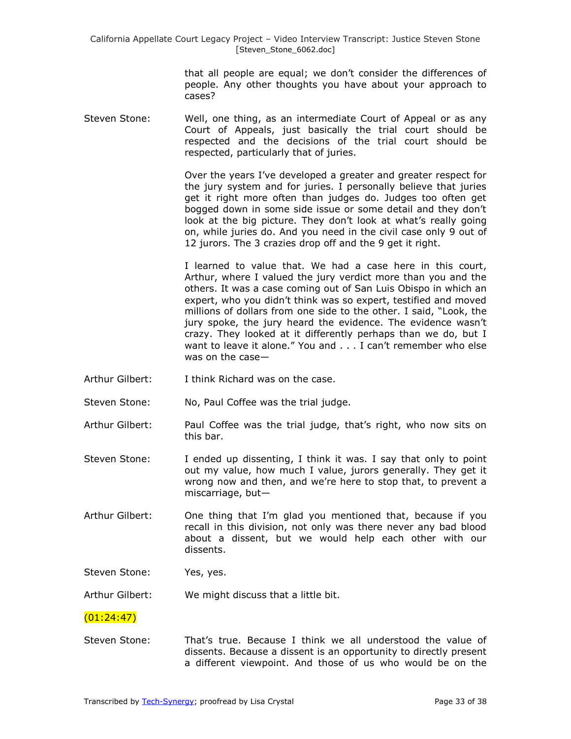> that all people are equal; we don't consider the differences of people. Any other thoughts you have about your approach to cases?

Steven Stone: Well, one thing, as an intermediate Court of Appeal or as any Court of Appeals, just basically the trial court should be respected and the decisions of the trial court should be respected, particularly that of juries.

> Over the years I've developed a greater and greater respect for the jury system and for juries. I personally believe that juries get it right more often than judges do. Judges too often get bogged down in some side issue or some detail and they don't look at the big picture. They don't look at what's really going on, while juries do. And you need in the civil case only 9 out of 12 jurors. The 3 crazies drop off and the 9 get it right.

> I learned to value that. We had a case here in this court, Arthur, where I valued the jury verdict more than you and the others. It was a case coming out of San Luis Obispo in which an expert, who you didn't think was so expert, testified and moved millions of dollars from one side to the other. I said, "Look, the jury spoke, the jury heard the evidence. The evidence wasn't crazy. They looked at it differently perhaps than we do, but I want to leave it alone." You and . . . I can't remember who else was on the case—

- Arthur Gilbert: I think Richard was on the case.
- Steven Stone: No, Paul Coffee was the trial judge.
- Arthur Gilbert: Paul Coffee was the trial judge, that's right, who now sits on this bar.
- Steven Stone: I ended up dissenting, I think it was. I say that only to point out my value, how much I value, jurors generally. They get it wrong now and then, and we're here to stop that, to prevent a miscarriage, but—
- Arthur Gilbert: One thing that I'm glad you mentioned that, because if you recall in this division, not only was there never any bad blood about a dissent, but we would help each other with our dissents.
- Steven Stone: Yes, yes.

Arthur Gilbert: We might discuss that a little bit.

### $(01:24:47)$

Steven Stone: That's true. Because I think we all understood the value of dissents. Because a dissent is an opportunity to directly present a different viewpoint. And those of us who would be on the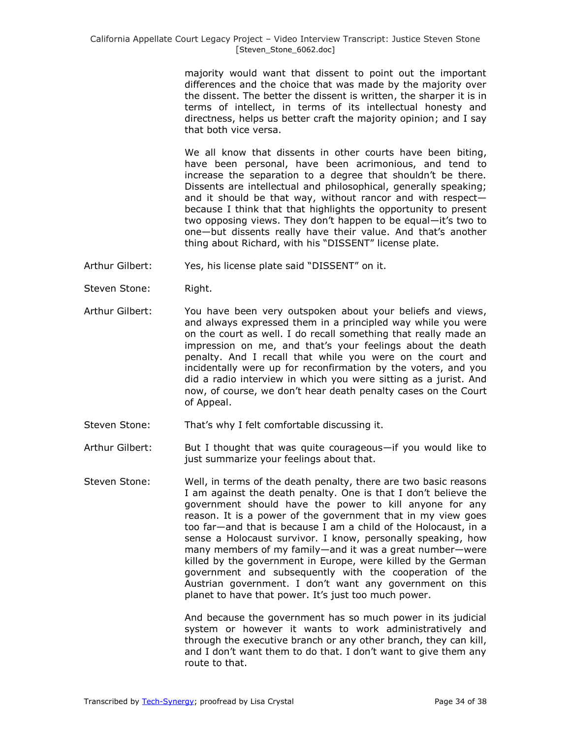majority would want that dissent to point out the important differences and the choice that was made by the majority over the dissent. The better the dissent is written, the sharper it is in terms of intellect, in terms of its intellectual honesty and directness, helps us better craft the majority opinion; and I say that both vice versa.

We all know that dissents in other courts have been biting, have been personal, have been acrimonious, and tend to increase the separation to a degree that shouldn't be there. Dissents are intellectual and philosophical, generally speaking; and it should be that way, without rancor and with respect because I think that that highlights the opportunity to present two opposing views. They don't happen to be equal—it's two to one—but dissents really have their value. And that's another thing about Richard, with his "DISSENT" license plate.

- Arthur Gilbert: Yes, his license plate said "DISSENT" on it.
- Steven Stone: Right.
- Arthur Gilbert: You have been very outspoken about your beliefs and views, and always expressed them in a principled way while you were on the court as well. I do recall something that really made an impression on me, and that's your feelings about the death penalty. And I recall that while you were on the court and incidentally were up for reconfirmation by the voters, and you did a radio interview in which you were sitting as a jurist. And now, of course, we don't hear death penalty cases on the Court of Appeal.
- Steven Stone: That's why I felt comfortable discussing it.
- Arthur Gilbert: But I thought that was quite courageous—if you would like to just summarize your feelings about that.
- Steven Stone: Well, in terms of the death penalty, there are two basic reasons I am against the death penalty. One is that I don't believe the government should have the power to kill anyone for any reason. It is a power of the government that in my view goes too far—and that is because I am a child of the Holocaust, in a sense a Holocaust survivor. I know, personally speaking, how many members of my family—and it was a great number—were killed by the government in Europe, were killed by the German government and subsequently with the cooperation of the Austrian government. I don't want any government on this planet to have that power. It's just too much power.

And because the government has so much power in its judicial system or however it wants to work administratively and through the executive branch or any other branch, they can kill, and I don't want them to do that. I don't want to give them any route to that.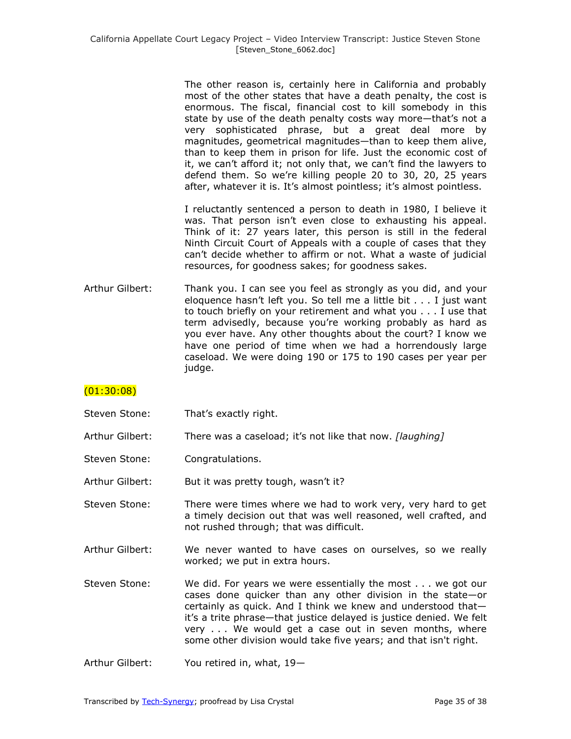The other reason is, certainly here in California and probably most of the other states that have a death penalty, the cost is enormous. The fiscal, financial cost to kill somebody in this state by use of the death penalty costs way more—that's not a very sophisticated phrase, but a great deal more by magnitudes, geometrical magnitudes—than to keep them alive, than to keep them in prison for life. Just the economic cost of it, we can't afford it; not only that, we can't find the lawyers to defend them. So we're killing people 20 to 30, 20, 25 years after, whatever it is. It's almost pointless; it's almost pointless.

I reluctantly sentenced a person to death in 1980, I believe it was. That person isn't even close to exhausting his appeal. Think of it: 27 years later, this person is still in the federal Ninth Circuit Court of Appeals with a couple of cases that they can't decide whether to affirm or not. What a waste of judicial resources, for goodness sakes; for goodness sakes.

Arthur Gilbert: Thank you. I can see you feel as strongly as you did, and your eloquence hasn't left you. So tell me a little bit . . . I just want to touch briefly on your retirement and what you . . . I use that term advisedly, because you're working probably as hard as you ever have. Any other thoughts about the court? I know we have one period of time when we had a horrendously large caseload. We were doing 190 or 175 to 190 cases per year per judge.

# $(01:30:08)$

- Steven Stone: That's exactly right.
- Arthur Gilbert: There was a caseload; it's not like that now. *[laughing]*
- Steven Stone: Congratulations.
- Arthur Gilbert: But it was pretty tough, wasn't it?
- Steven Stone: There were times where we had to work very, very hard to get a timely decision out that was well reasoned, well crafted, and not rushed through; that was difficult.
- Arthur Gilbert: We never wanted to have cases on ourselves, so we really worked; we put in extra hours.
- Steven Stone: We did. For years we were essentially the most . . . we got our cases done quicker than any other division in the state—or certainly as quick. And I think we knew and understood that it's a trite phrase—that justice delayed is justice denied. We felt very . . . We would get a case out in seven months, where some other division would take five years; and that isn't right.

Arthur Gilbert: You retired in, what, 19—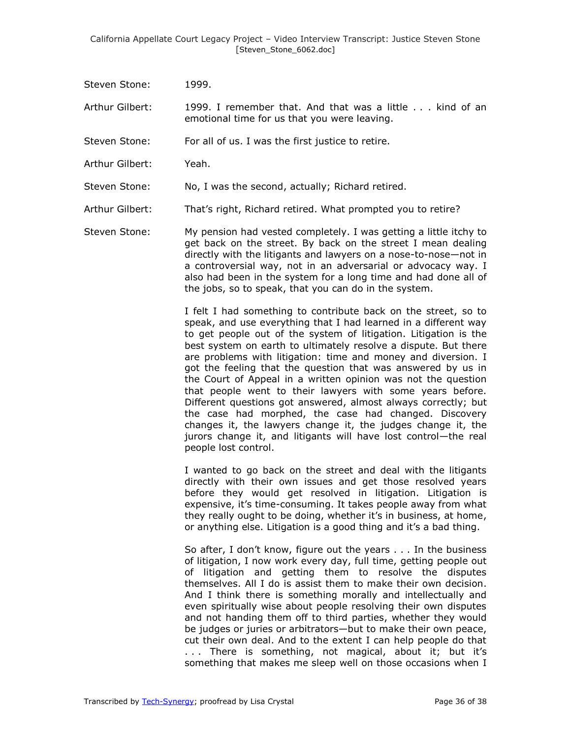Steven Stone: 1999.

Arthur Gilbert: 1999. I remember that. And that was a little . . . kind of an emotional time for us that you were leaving.

Steven Stone: For all of us. I was the first justice to retire.

Arthur Gilbert: Yeah.

Steven Stone: No, I was the second, actually; Richard retired.

Arthur Gilbert: That's right, Richard retired. What prompted you to retire?

Steven Stone: My pension had vested completely. I was getting a little itchy to get back on the street. By back on the street I mean dealing directly with the litigants and lawyers on a nose-to-nose—not in a controversial way, not in an adversarial or advocacy way. I also had been in the system for a long time and had done all of the jobs, so to speak, that you can do in the system.

> I felt I had something to contribute back on the street, so to speak, and use everything that I had learned in a different way to get people out of the system of litigation. Litigation is the best system on earth to ultimately resolve a dispute. But there are problems with litigation: time and money and diversion. I got the feeling that the question that was answered by us in the Court of Appeal in a written opinion was not the question that people went to their lawyers with some years before. Different questions got answered, almost always correctly; but the case had morphed, the case had changed. Discovery changes it, the lawyers change it, the judges change it, the jurors change it, and litigants will have lost control—the real people lost control.

> I wanted to go back on the street and deal with the litigants directly with their own issues and get those resolved years before they would get resolved in litigation. Litigation is expensive, it's time-consuming. It takes people away from what they really ought to be doing, whether it's in business, at home, or anything else. Litigation is a good thing and it's a bad thing.

> So after, I don't know, figure out the years . . . In the business of litigation, I now work every day, full time, getting people out of litigation and getting them to resolve the disputes themselves. All I do is assist them to make their own decision. And I think there is something morally and intellectually and even spiritually wise about people resolving their own disputes and not handing them off to third parties, whether they would be judges or juries or arbitrators—but to make their own peace, cut their own deal. And to the extent I can help people do that ... There is something, not magical, about it; but it's something that makes me sleep well on those occasions when I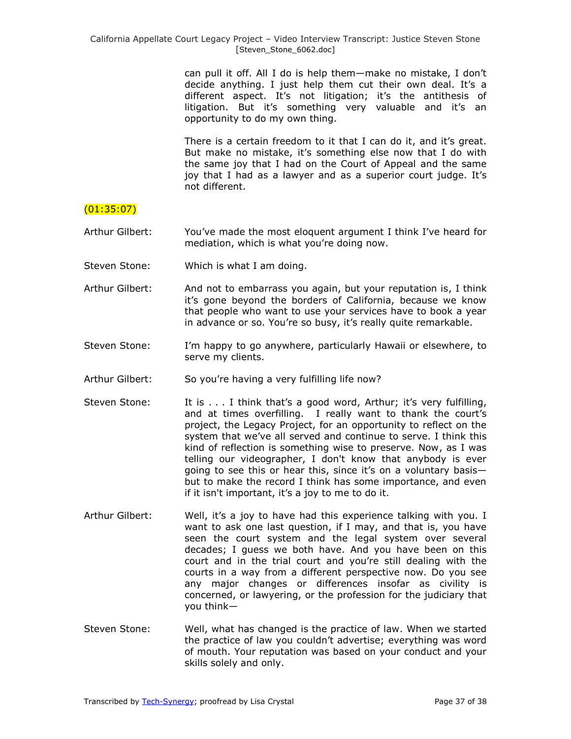can pull it off. All I do is help them—make no mistake, I don't decide anything. I just help them cut their own deal. It's a different aspect. It's not litigation; it's the antithesis of litigation. But it's something very valuable and it's an opportunity to do my own thing.

There is a certain freedom to it that I can do it, and it's great. But make no mistake, it's something else now that I do with the same joy that I had on the Court of Appeal and the same joy that I had as a lawyer and as a superior court judge. It's not different.

### (01:35:07)

Arthur Gilbert: You've made the most eloquent argument I think I've heard for mediation, which is what you're doing now.

- Steven Stone: Which is what I am doing.
- Arthur Gilbert: And not to embarrass you again, but your reputation is, I think it's gone beyond the borders of California, because we know that people who want to use your services have to book a year in advance or so. You're so busy, it's really quite remarkable.
- Steven Stone: I'm happy to go anywhere, particularly Hawaii or elsewhere, to serve my clients.
- Arthur Gilbert: So you're having a very fulfilling life now?
- Steven Stone: It is . . . I think that's a good word, Arthur; it's very fulfilling, and at times overfilling. I really want to thank the court's project, the Legacy Project, for an opportunity to reflect on the system that we've all served and continue to serve. I think this kind of reflection is something wise to preserve. Now, as I was telling our videographer, I don't know that anybody is ever going to see this or hear this, since it's on a voluntary basis but to make the record I think has some importance, and even if it isn't important, it's a joy to me to do it.
- Arthur Gilbert: Well, it's a joy to have had this experience talking with you. I want to ask one last question, if I may, and that is, you have seen the court system and the legal system over several decades; I guess we both have. And you have been on this court and in the trial court and you're still dealing with the courts in a way from a different perspective now. Do you see any major changes or differences insofar as civility is concerned, or lawyering, or the profession for the judiciary that you think—
- Steven Stone: Well, what has changed is the practice of law. When we started the practice of law you couldn't advertise; everything was word of mouth. Your reputation was based on your conduct and your skills solely and only.